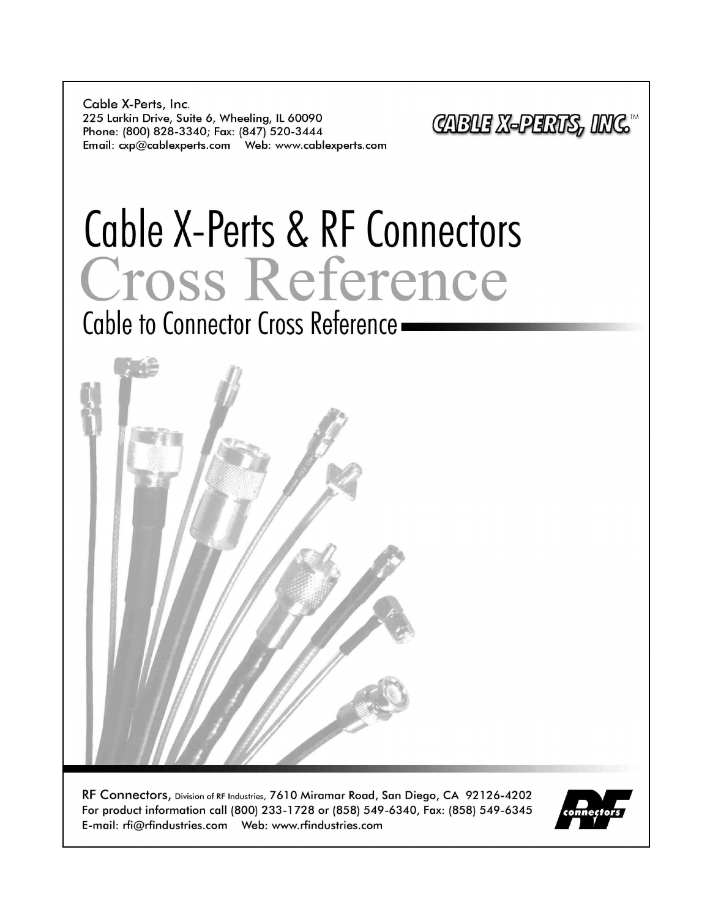Cable X-Perts, Inc. 225 Larkin Drive, Suite 6, Wheeling, IL 60090 Phone: (800) 828-3340; Fax: (847) 520-3444 

CABUE X-PERTS, INC.

# Cable X-Perts & RF Connectors Cross Reference

Cable to Connector Cross Reference -



RF Connectors, Division of RF Industries, 7610 Miramar Road, San Diego, CA 92126-4202 For product information call (800) 233-1728 or (858) 549-6340, Fax: (858) 549-6345 

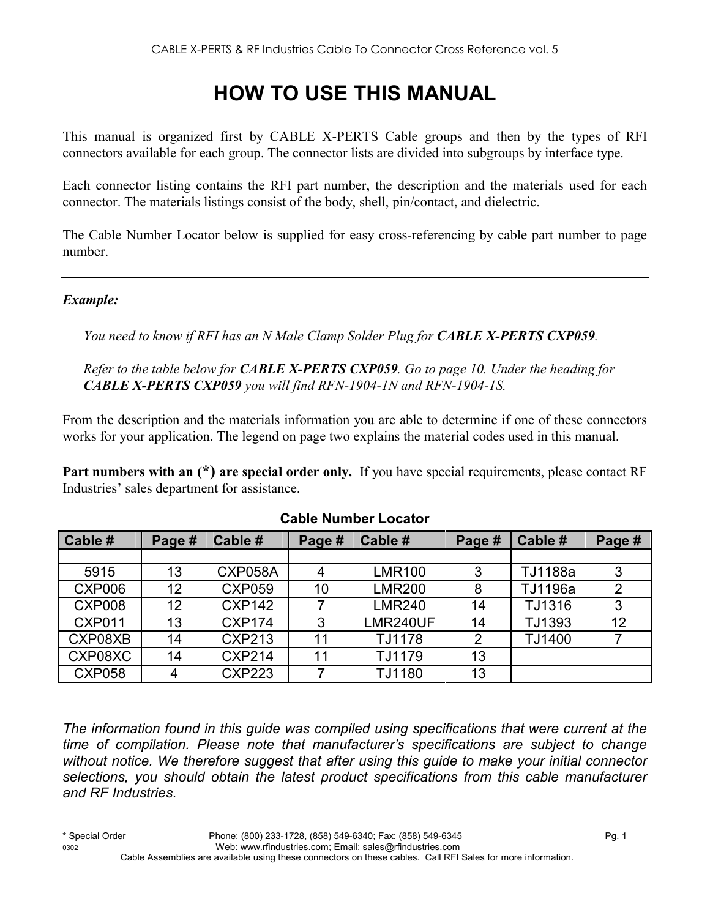# **HOW TO USE THIS MANUAL**

This manual is organized first by CABLE X-PERTS Cable groups and then by the types of RFI connectors available for each group. The connector lists are divided into subgroups by interface type.

Each connector listing contains the RFI part number, the description and the materials used for each connector. The materials listings consist of the body, shell, pin/contact, and dielectric.

The Cable Number Locator below is supplied for easy cross-referencing by cable part number to page number.

#### *Example:*

*You need to know if RFI has an N Male Clamp Solder Plug for CABLE X-PERTS CXP059.* 

*Refer to the table below for CABLE X-PERTS CXP059. Go to page 10. Under the heading for CABLE X-PERTS CXP059 you will find RFN-1904-1N and RFN-1904-1S.* 

From the description and the materials information you are able to determine if one of these connectors works for your application. The legend on page two explains the material codes used in this manual.

**Part numbers with an (\*) are special order only.** If you have special requirements, please contact RF Industries' sales department for assistance.

| Cable #       | Page # | Cable #        | Page # | Cable #       | Page # | Cable # | Page #         |
|---------------|--------|----------------|--------|---------------|--------|---------|----------------|
|               |        |                |        |               |        |         |                |
| 5915          | 13     | <b>CXP058A</b> | 4      | <b>LMR100</b> | 3      | TJ1188a | 3              |
| <b>CXP006</b> | 12     | <b>CXP059</b>  | 10     | <b>LMR200</b> | 8      | TJ1196a | $\overline{2}$ |
| <b>CXP008</b> | 12     | <b>CXP142</b>  |        | <b>LMR240</b> | 14     | TJ1316  | 3              |
| <b>CXP011</b> | 13     | <b>CXP174</b>  | 3      | LMR240UF      | 14     | TJ1393  | 12             |
| CXP08XB       | 14     | <b>CXP213</b>  | 11     | TJ1178        | 2      | TJ1400  |                |
| CXP08XC       | 14     | <b>CXP214</b>  | 11     | TJ1179        | 13     |         |                |
| <b>CXP058</b> | 4      | <b>CXP223</b>  |        | TJ1180        | 13     |         |                |

#### **Cable Number Locator**

*The information found in this guide was compiled using specifications that were current at the time of compilation. Please note that manufacturer's specifications are subject to change without notice. We therefore suggest that after using this guide to make your initial connector selections, you should obtain the latest product specifications from this cable manufacturer and RF Industries.*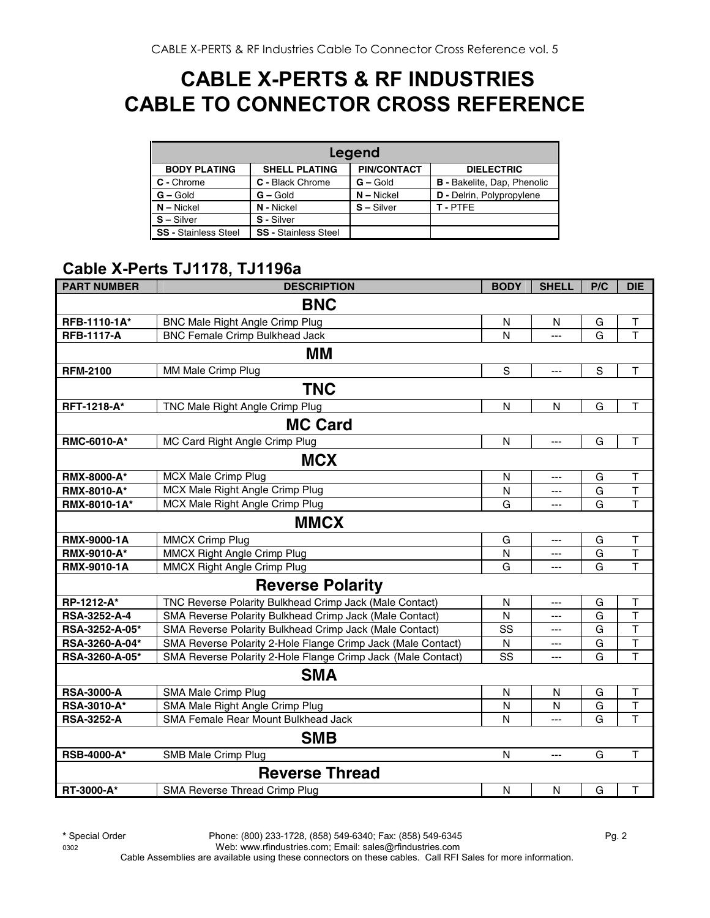# **CABLE X-PERTS & RF INDUSTRIES CABLE TO CONNECTOR CROSS REFERENCE**

| Legend                      |                             |                    |                                    |  |  |  |  |  |
|-----------------------------|-----------------------------|--------------------|------------------------------------|--|--|--|--|--|
| <b>BODY PLATING</b>         | <b>SHELL PLATING</b>        | <b>PIN/CONTACT</b> | <b>DIELECTRIC</b>                  |  |  |  |  |  |
| C - Chrome                  | C - Black Chrome            | $G -$ Gold         | <b>B</b> - Bakelite, Dap, Phenolic |  |  |  |  |  |
| $G - Gold$                  | $G - Gold$                  | $N - Nickel$       | <b>D</b> - Delrin, Polypropylene   |  |  |  |  |  |
| $N - Nickel$                | N - Nickel                  | $S - Silver$       | T-PTFF                             |  |  |  |  |  |
| $S - Silver$                | S - Silver                  |                    |                                    |  |  |  |  |  |
| <b>SS - Stainless Steel</b> | <b>SS - Stainless Steel</b> |                    |                                    |  |  |  |  |  |

#### **Cable X-Perts TJ1178, TJ1196a**

| <b>PART NUMBER</b> | <b>DESCRIPTION</b>                                           | <b>BODY</b>  | <b>SHELL</b>   | P/C         | <b>DIE</b>              |
|--------------------|--------------------------------------------------------------|--------------|----------------|-------------|-------------------------|
|                    | <b>BNC</b>                                                   |              |                |             |                         |
| RFB-1110-1A*       | BNC Male Right Angle Crimp Plug                              | N            | N              | G           | T                       |
| <b>RFB-1117-A</b>  | <b>BNC Female Crimp Bulkhead Jack</b>                        | N            | $\overline{a}$ | G           | $\overline{\mathsf{T}}$ |
|                    | МM                                                           |              |                |             |                         |
| <b>RFM-2100</b>    | MM Male Crimp Plug                                           | $\mathsf S$  | ---            | $\mathbf S$ | $\top$                  |
|                    | <b>TNC</b>                                                   |              |                |             |                         |
| RFT-1218-A*        | TNC Male Right Angle Crimp Plug                              | $\mathsf{N}$ | ${\sf N}$      | G           | $\top$                  |
|                    | <b>MC Card</b>                                               |              |                |             |                         |
| RMC-6010-A*        | MC Card Right Angle Crimp Plug                               | N            | ---            | G           | $\top$                  |
|                    | <b>MCX</b>                                                   |              |                |             |                         |
| <b>RMX-8000-A*</b> | MCX Male Crimp Plug                                          | ${\sf N}$    | $---$          | G           | $\sf T$                 |
| RMX-8010-A*        | MCX Male Right Angle Crimp Plug                              | Ν            | ---            | G           | T                       |
| RMX-8010-1A*       | MCX Male Right Angle Crimp Plug                              | G            | ---            | G           | T                       |
|                    | <b>MMCX</b>                                                  |              |                |             |                         |
| RMX-9000-1A        | <b>MMCX Crimp Plug</b>                                       | G            | ---            | G           | T                       |
| RMX-9010-A*        | MMCX Right Angle Crimp Plug                                  | N            | ---            | G           | T                       |
| RMX-9010-1A        | MMCX Right Angle Crimp Plug                                  | G            | ---            | G           | T                       |
|                    | <b>Reverse Polarity</b>                                      |              |                |             |                         |
| RP-1212-A*         | TNC Reverse Polarity Bulkhead Crimp Jack (Male Contact)      | N            | ---            | G           | $\sf T$                 |
| RSA-3252-A-4       | SMA Reverse Polarity Bulkhead Crimp Jack (Male Contact)      | N            | ---            | G           | T                       |
| RSA-3252-A-05*     | SMA Reverse Polarity Bulkhead Crimp Jack (Male Contact)      | SS           | ---            | G           | T                       |
| RSA-3260-A-04*     | SMA Reverse Polarity 2-Hole Flange Crimp Jack (Male Contact) | N            | $---$          | G           | $\mathsf T$             |
| RSA-3260-A-05*     | SMA Reverse Polarity 2-Hole Flange Crimp Jack (Male Contact) | SS           |                | G           | T                       |
|                    | <b>SMA</b>                                                   |              |                |             |                         |
| <b>RSA-3000-A</b>  | SMA Male Crimp Plug                                          | N            | N              | G           | Τ                       |
| RSA-3010-A*        | SMA Male Right Angle Crimp Plug                              | N            | N              | G           | $\mathsf T$             |
| <b>RSA-3252-A</b>  | SMA Female Rear Mount Bulkhead Jack                          | N            | ---            | G           | T                       |
|                    | <b>SMB</b>                                                   |              |                |             |                         |
| <b>RSB-4000-A*</b> | SMB Male Crimp Plug                                          | N            | ---            | G           | $\mathsf{T}$            |
|                    | <b>Reverse Thread</b>                                        |              |                |             |                         |
| RT-3000-A*         | SMA Reverse Thread Crimp Plug                                | N            | ${\sf N}$      | G           | T                       |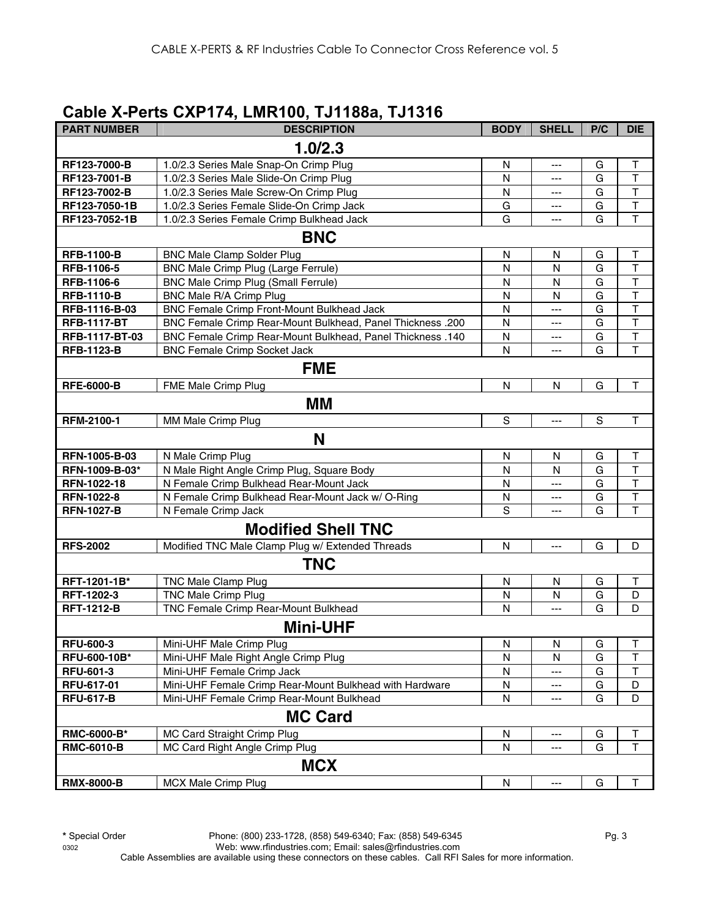#### **Cable X-Perts CXP174, LMR100, TJ1188a, TJ1316**

| <b>PART NUMBER</b> | <b>DESCRIPTION</b>                                         | <b>BODY</b>  | <b>SHELL</b> | P/C | <b>DIE</b>              |
|--------------------|------------------------------------------------------------|--------------|--------------|-----|-------------------------|
|                    | 1.0/2.3                                                    |              |              |     |                         |
| RF123-7000-B       | 1.0/2.3 Series Male Snap-On Crimp Plug                     | N            | ---          | G   | $\top$                  |
| RF123-7001-B       | 1.0/2.3 Series Male Slide-On Crimp Plug                    | N            | ---          | G   | T                       |
| RF123-7002-B       | 1.0/2.3 Series Male Screw-On Crimp Plug                    | N            | ---          | G   | $\mathsf T$             |
| RF123-7050-1B      | 1.0/2.3 Series Female Slide-On Crimp Jack                  | G            | ---          | G   | $\overline{\mathsf{T}}$ |
| RF123-7052-1B      | 1.0/2.3 Series Female Crimp Bulkhead Jack                  | G            | ---          | G   | $\overline{\mathsf{T}}$ |
|                    | <b>BNC</b>                                                 |              |              |     |                         |
| <b>RFB-1100-B</b>  | <b>BNC Male Clamp Solder Plug</b>                          | N            | N            | G   | $\top$                  |
| RFB-1106-5         | BNC Male Crimp Plug (Large Ferrule)                        | N            | N            | G   | $\mathsf{T}$            |
| RFB-1106-6         | <b>BNC Male Crimp Plug (Small Ferrule)</b>                 | N            | N            | G   | $\overline{\mathsf{T}}$ |
| <b>RFB-1110-B</b>  | BNC Male R/A Crimp Plug                                    | N            | N            | G   | T                       |
| RFB-1116-B-03      | BNC Female Crimp Front-Mount Bulkhead Jack                 | ${\sf N}$    | ---          | G   | $\overline{\mathsf{T}}$ |
| <b>RFB-1117-BT</b> | BNC Female Crimp Rear-Mount Bulkhead, Panel Thickness .200 | N            | ---          | G   | $\mathsf T$             |
| RFB-1117-BT-03     | BNC Female Crimp Rear-Mount Bulkhead, Panel Thickness .140 | N            | ---          | G   | $\top$                  |
| <b>RFB-1123-B</b>  | <b>BNC Female Crimp Socket Jack</b>                        | N            | ---          | G   | T                       |
|                    | <b>FME</b>                                                 |              |              |     |                         |
| <b>RFE-6000-B</b>  | FME Male Crimp Plug                                        | $\mathsf{N}$ | N            | G   | $\mathsf{T}$            |
|                    | МM                                                         |              |              |     |                         |
| RFM-2100-1         | MM Male Crimp Plug                                         | S            | ---          | S   | $\mathsf T$             |
|                    | N                                                          |              |              |     |                         |
| RFN-1005-B-03      | N Male Crimp Plug                                          | N            | N            | G   | $\mathsf T$             |
| RFN-1009-B-03*     | N Male Right Angle Crimp Plug, Square Body                 | N            | N            | G   | $\mathsf{T}$            |
| RFN-1022-18        | N Female Crimp Bulkhead Rear-Mount Jack                    | N            | ---          | G   | $\mathsf{T}$            |
| RFN-1022-8         | N Female Crimp Bulkhead Rear-Mount Jack w/ O-Ring          | N            | ---          | G   | $\top$                  |
| <b>RFN-1027-B</b>  | N Female Crimp Jack                                        | S            |              | G   | T                       |
|                    | <b>Modified Shell TNC</b>                                  |              |              |     |                         |
| <b>RFS-2002</b>    | Modified TNC Male Clamp Plug w/ Extended Threads           | N            | ---          | G   | D                       |
|                    | <b>TNC</b>                                                 |              |              |     |                         |
| RFT-1201-1B*       | <b>TNC Male Clamp Plug</b>                                 | N            | N            | G   | $\top$                  |
| RFT-1202-3         | <b>TNC Male Crimp Plug</b>                                 | N            | N            | G   | D                       |
| <b>RFT-1212-B</b>  | TNC Female Crimp Rear-Mount Bulkhead                       | N            | ---          | G   | D                       |
|                    | <b>Mini-UHF</b>                                            |              |              |     |                         |
| <b>RFU-600-3</b>   | Mini-UHF Male Crimp Plug                                   | N            | N            | G   | T                       |
| RFU-600-10B*       | Mini-UHF Male Right Angle Crimp Plug                       | N            | N            | G   | $\overline{\mathsf{T}}$ |
| <b>RFU-601-3</b>   | Mini-UHF Female Crimp Jack                                 | N            | ---          | G   | Τ                       |
| RFU-617-01         | Mini-UHF Female Crimp Rear-Mount Bulkhead with Hardware    | N            | ---          | G   | D                       |
| <b>RFU-617-B</b>   | Mini-UHF Female Crimp Rear-Mount Bulkhead                  | ${\sf N}$    | ---          | G   | D                       |
|                    | <b>MC Card</b>                                             |              |              |     |                         |
| RMC-6000-B*        | MC Card Straight Crimp Plug                                | N            | ---          | G   | Τ                       |
| <b>RMC-6010-B</b>  | MC Card Right Angle Crimp Plug                             | N            | ---          | G   | T                       |
|                    | <b>MCX</b>                                                 |              |              |     |                         |
| <b>RMX-8000-B</b>  | MCX Male Crimp Plug                                        | ${\sf N}$    | ---          | G   | $\top$                  |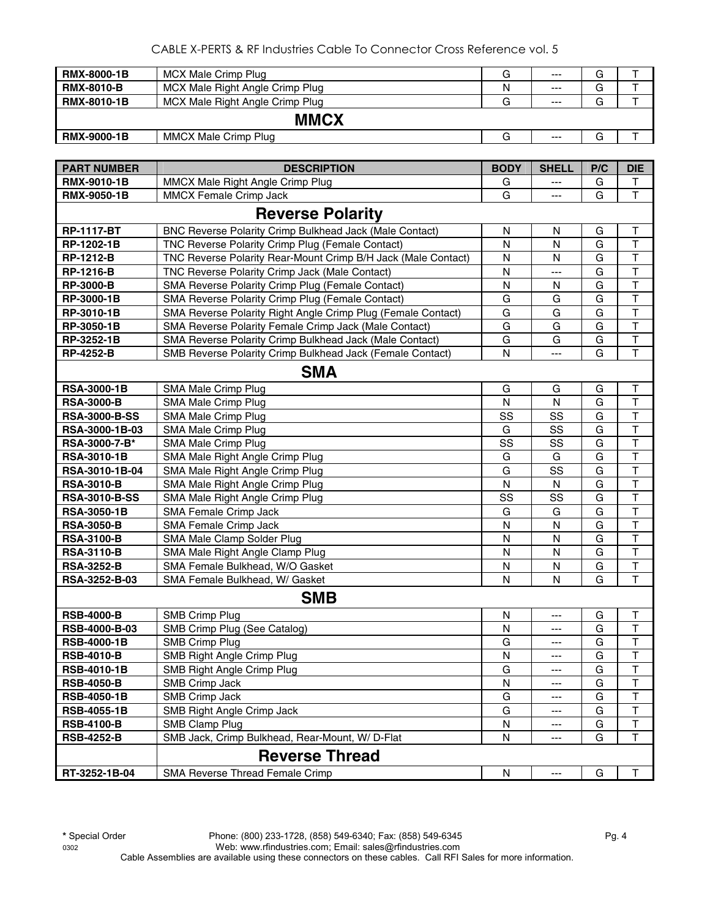| <b>RMX-8000-1B</b> | MCX Male Crimp Plug             | G | $--$  | G |  |
|--------------------|---------------------------------|---|-------|---|--|
| <b>RMX-8010-B</b>  | MCX Male Right Angle Crimp Plug | N | $---$ | G |  |
| <b>RMX-8010-1B</b> | MCX Male Right Angle Crimp Plug | G | $--$  | G |  |
|                    | <b>MMCX</b>                     |   |       |   |  |
| <b>RMX-9000-1B</b> | MMCX Male Crimp Plug            | G | $---$ | G |  |

| <b>PART NUMBER</b>      | <b>DESCRIPTION</b>                                             | <b>BODY</b>  | <b>SHELL</b> | P/C | <b>DIE</b>              |  |  |  |
|-------------------------|----------------------------------------------------------------|--------------|--------------|-----|-------------------------|--|--|--|
| <b>RMX-9010-1B</b>      | MMCX Male Right Angle Crimp Plug                               | G            |              | G   | Т                       |  |  |  |
| RMX-9050-1B             | <b>MMCX Female Crimp Jack</b>                                  | G            | ---          | G   | T                       |  |  |  |
| <b>Reverse Polarity</b> |                                                                |              |              |     |                         |  |  |  |
| <b>RP-1117-BT</b>       | <b>BNC Reverse Polarity Crimp Bulkhead Jack (Male Contact)</b> | N            | N            | G   | $\mathsf T$             |  |  |  |
| RP-1202-1B              | TNC Reverse Polarity Crimp Plug (Female Contact)               | N            | N            | G   | T                       |  |  |  |
| <b>RP-1212-B</b>        | TNC Reverse Polarity Rear-Mount Crimp B/H Jack (Male Contact)  | N            | N            | G   | T                       |  |  |  |
| <b>RP-1216-B</b>        | TNC Reverse Polarity Crimp Jack (Male Contact)                 | $\mathsf{N}$ | ---          | G   | $\overline{\mathsf{T}}$ |  |  |  |
| <b>RP-3000-B</b>        | SMA Reverse Polarity Crimp Plug (Female Contact)               | $\mathsf{N}$ | N            | G   | $\overline{\mathsf{T}}$ |  |  |  |
| RP-3000-1B              | SMA Reverse Polarity Crimp Plug (Female Contact)               | G            | G            | G   | $\overline{\mathsf{T}}$ |  |  |  |
| RP-3010-1B              | SMA Reverse Polarity Right Angle Crimp Plug (Female Contact)   | G            | G            | G   | $\overline{\mathsf{T}}$ |  |  |  |
| RP-3050-1B              | SMA Reverse Polarity Female Crimp Jack (Male Contact)          | G            | G            | G   | $\overline{\mathsf{T}}$ |  |  |  |
| RP-3252-1B              | SMA Reverse Polarity Crimp Bulkhead Jack (Male Contact)        | G            | G            | G   | T                       |  |  |  |
| <b>RP-4252-B</b>        | SMB Reverse Polarity Crimp Bulkhead Jack (Female Contact)      | $\mathsf{N}$ | ---          | G   | $\overline{\mathsf{T}}$ |  |  |  |
|                         | <b>SMA</b>                                                     |              |              |     |                         |  |  |  |
| <b>RSA-3000-1B</b>      | SMA Male Crimp Plug                                            | G            | G            | G   | T                       |  |  |  |
| <b>RSA-3000-B</b>       | SMA Male Crimp Plug                                            | N            | N            | G   | $\overline{\mathsf{T}}$ |  |  |  |
| <b>RSA-3000-B-SS</b>    | SMA Male Crimp Plug                                            | SS           | SS           | G   | $\overline{\mathsf{T}}$ |  |  |  |
| RSA-3000-1B-03          | SMA Male Crimp Plug                                            | G            | SS           | G   | $\mathsf T$             |  |  |  |
| RSA-3000-7-B*           | SMA Male Crimp Plug                                            | SS           | SS           | G   | $\mathsf T$             |  |  |  |
| <b>RSA-3010-1B</b>      | SMA Male Right Angle Crimp Plug                                | G            | G            | G   | $\overline{\mathsf{T}}$ |  |  |  |
| RSA-3010-1B-04          | SMA Male Right Angle Crimp Plug                                | G            | SS           | G   | $\overline{\mathsf{T}}$ |  |  |  |
| <b>RSA-3010-B</b>       | SMA Male Right Angle Crimp Plug                                | N            | N            | G   | $\overline{\mathsf{T}}$ |  |  |  |
| <b>RSA-3010-B-SS</b>    | SMA Male Right Angle Crimp Plug                                | SS           | SS           | G   | $\overline{\mathsf{T}}$ |  |  |  |
| <b>RSA-3050-1B</b>      | SMA Female Crimp Jack                                          | G            | G            | G   | $\overline{\mathsf{T}}$ |  |  |  |
| <b>RSA-3050-B</b>       | SMA Female Crimp Jack                                          | N            | N            | G   | T                       |  |  |  |
| <b>RSA-3100-B</b>       | SMA Male Clamp Solder Plug                                     | N            | N            | G   | $\overline{\mathsf{T}}$ |  |  |  |
| <b>RSA-3110-B</b>       | SMA Male Right Angle Clamp Plug                                | $\mathsf{N}$ | ${\sf N}$    | G   | $\overline{\mathsf{T}}$ |  |  |  |
| <b>RSA-3252-B</b>       | SMA Female Bulkhead, W/O Gasket                                | N            | N            | G   | T                       |  |  |  |
| RSA-3252-B-03           | SMA Female Bulkhead, W/ Gasket                                 | N            | N            | G   | $\overline{\mathsf{T}}$ |  |  |  |
|                         | <b>SMB</b>                                                     |              |              |     |                         |  |  |  |
| <b>RSB-4000-B</b>       | <b>SMB Crimp Plug</b>                                          | N            | ---          | G   | T                       |  |  |  |
| <b>RSB-4000-B-03</b>    | SMB Crimp Plug (See Catalog)                                   | N            | ---          | G   | $\mathsf T$             |  |  |  |
| <b>RSB-4000-1B</b>      | <b>SMB Crimp Plug</b>                                          | G            | ---          | G   | $\overline{\mathsf{T}}$ |  |  |  |
| <b>RSB-4010-B</b>       | SMB Right Angle Crimp Plug                                     | N            | ---          | G   | $\overline{\mathsf{T}}$ |  |  |  |
| <b>RSB-4010-1B</b>      | SMB Right Angle Crimp Plug                                     | G            | $---$        | G   | $\overline{\mathsf{T}}$ |  |  |  |
| <b>RSB-4050-B</b>       | SMB Crimp Jack                                                 | N            | ---          | G   | I.                      |  |  |  |
| <b>RSB-4050-1B</b>      | <b>SMB Crimp Jack</b>                                          | G            | ---          | G   | T                       |  |  |  |
| <b>RSB-4055-1B</b>      | SMB Right Angle Crimp Jack                                     | G            | ---          | G   | Τ                       |  |  |  |
| <b>RSB-4100-B</b>       | <b>SMB Clamp Plug</b>                                          | N            | ---          | G   | T                       |  |  |  |
| <b>RSB-4252-B</b>       | SMB Jack, Crimp Bulkhead, Rear-Mount, W/ D-Flat                | N            | ---          | G   | T                       |  |  |  |
|                         | <b>Reverse Thread</b>                                          |              |              |     |                         |  |  |  |
| RT-3252-1B-04           | SMA Reverse Thread Female Crimp                                | N            | ---          | G   | Τ                       |  |  |  |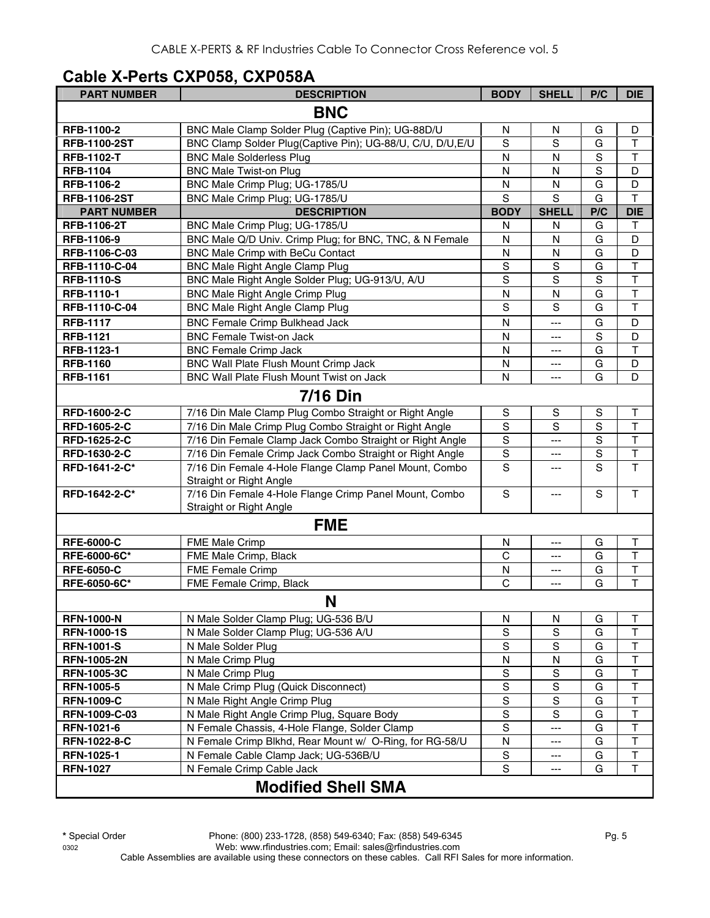## **Cable X-Perts CXP058, CXP058A**

| <b>PART NUMBER</b>  | <b>DESCRIPTION</b>                                                                | <b>BODY</b>    | <b>SHELL</b>   | P/C            | <b>DIE</b>              |
|---------------------|-----------------------------------------------------------------------------------|----------------|----------------|----------------|-------------------------|
|                     | <b>BNC</b>                                                                        |                |                |                |                         |
| RFB-1100-2          | BNC Male Clamp Solder Plug (Captive Pin); UG-88D/U                                | N              | N              | G              | D                       |
| <b>RFB-1100-2ST</b> | BNC Clamp Solder Plug(Captive Pin); UG-88/U, C/U, D/U, E/U                        | S              | S              | G              | $\mathsf T$             |
| <b>RFB-1102-T</b>   | <b>BNC Male Solderless Plug</b>                                                   | N              | N              | S              | $\top$                  |
| <b>RFB-1104</b>     | <b>BNC Male Twist-on Plug</b>                                                     | N              | N              | $\mathbf S$    | D                       |
| RFB-1106-2          | BNC Male Crimp Plug; UG-1785/U                                                    | N              | N              | G              | D                       |
| <b>RFB-1106-2ST</b> | BNC Male Crimp Plug; UG-1785/U                                                    | S              | S              | G              | $\mathsf{T}$            |
| <b>PART NUMBER</b>  | <b>DESCRIPTION</b>                                                                | <b>BODY</b>    | <b>SHELL</b>   | P/C            | <b>DIE</b>              |
| <b>RFB-1106-2T</b>  | BNC Male Crimp Plug; UG-1785/U                                                    | N              | N              | G              | Τ                       |
| RFB-1106-9          | BNC Male Q/D Univ. Crimp Plug; for BNC, TNC, & N Female                           | N              | N              | G              | D                       |
| RFB-1106-C-03       | <b>BNC Male Crimp with BeCu Contact</b>                                           | ${\sf N}$      | $\mathsf{N}$   | G              | D                       |
| RFB-1110-C-04       | <b>BNC Male Right Angle Clamp Plug</b>                                            | $\mathbf S$    | S              | G              | $\overline{\mathsf{T}}$ |
| <b>RFB-1110-S</b>   | BNC Male Right Angle Solder Plug; UG-913/U, A/U                                   | S              | S              | $\overline{s}$ | $\overline{\mathsf{T}}$ |
| RFB-1110-1          | <b>BNC Male Right Angle Crimp Plug</b>                                            | N              | N              | G              | $\overline{\mathsf{T}}$ |
| RFB-1110-C-04       | <b>BNC Male Right Angle Clamp Plug</b>                                            | $\overline{s}$ | $\overline{s}$ | G              | $\overline{\mathsf{T}}$ |
| <b>RFB-1117</b>     | <b>BNC Female Crimp Bulkhead Jack</b>                                             | $\mathsf{N}$   | $\overline{a}$ | G              | D                       |
| <b>RFB-1121</b>     | <b>BNC Female Twist-on Jack</b>                                                   | N              | $---$          | S              | D                       |
| RFB-1123-1          | <b>BNC Female Crimp Jack</b>                                                      | $\mathsf{N}$   | ---            | G              | $\overline{\mathsf{T}}$ |
| <b>RFB-1160</b>     | BNC Wall Plate Flush Mount Crimp Jack                                             | $\mathsf{N}$   | ---            | G              | D                       |
| <b>RFB-1161</b>     | BNC Wall Plate Flush Mount Twist on Jack                                          | N              | ---            | G              | D                       |
|                     | <b>7/16 Din</b>                                                                   |                |                |                |                         |
| RFD-1600-2-C        | 7/16 Din Male Clamp Plug Combo Straight or Right Angle                            | $\mathbb S$    | S              | S              | $\mathsf T$             |
| RFD-1605-2-C        | 7/16 Din Male Crimp Plug Combo Straight or Right Angle                            | $\mathbf S$    | S              | $\overline{s}$ | $\overline{\mathsf{T}}$ |
| RFD-1625-2-C        | 7/16 Din Female Clamp Jack Combo Straight or Right Angle                          | $\mathbf S$    | ---            | $\overline{s}$ | $\overline{\mathsf{T}}$ |
| RFD-1630-2-C        | 7/16 Din Female Crimp Jack Combo Straight or Right Angle                          | $\mathbf S$    | ---            | S              | $\overline{\mathsf{T}}$ |
| RFD-1641-2-C*       | 7/16 Din Female 4-Hole Flange Clamp Panel Mount, Combo                            | S              | ---            | S              | $\overline{\mathsf{T}}$ |
|                     | Straight or Right Angle                                                           |                |                |                |                         |
| RFD-1642-2-C*       | 7/16 Din Female 4-Hole Flange Crimp Panel Mount, Combo<br>Straight or Right Angle | $\mathbf S$    | ---            | S              | T                       |
|                     | <b>FME</b>                                                                        |                |                |                |                         |
| <b>RFE-6000-C</b>   | FME Male Crimp                                                                    | N              | ---            | G              | $\mathsf T$             |
| RFE-6000-6C*        | FME Male Crimp, Black                                                             | C              | ---            | G              | $\mathsf{T}$            |
| <b>RFE-6050-C</b>   | <b>FME Female Crimp</b>                                                           | N              | ---            | G              | $\top$                  |
| RFE-6050-6C*        | FME Female Crimp, Black                                                           | $\mathsf C$    | ---            | G              | $\mathsf T$             |
|                     | N                                                                                 |                |                |                |                         |
| <b>RFN-1000-N</b>   | N Male Solder Clamp Plug; UG-536 B/U                                              | N              | N              | G              | $\mathsf T$             |
| <b>RFN-1000-1S</b>  | N Male Solder Clamp Plug; UG-536 A/U                                              | S              | $\mathbf S$    | G              | $\top$                  |
| <b>RFN-1001-S</b>   | N Male Solder Plug                                                                | S              | S              | G              | $\sf T$                 |
| <b>RFN-1005-2N</b>  | N Male Crimp Plug                                                                 | N              | N              | G              | $\sf T$                 |
| <b>RFN-1005-3C</b>  | N Male Crimp Plug                                                                 | ${\sf S}$      | $\mathbf S$    | G              | $\mathsf T$             |
| <b>RFN-1005-5</b>   | N Male Crimp Plug (Quick Disconnect)                                              | S              | S              | G              | $\sf T$                 |
| <b>RFN-1009-C</b>   | N Male Right Angle Crimp Plug                                                     | S              | $\mathbf S$    | G              | T                       |
| RFN-1009-C-03       | N Male Right Angle Crimp Plug, Square Body                                        | $\mathbf S$    | S              | G              | $\top$                  |
| RFN-1021-6          | N Female Chassis, 4-Hole Flange, Solder Clamp                                     | ${\mathsf S}$  | ---            | G              | $\top$                  |
| RFN-1022-8-C        | N Female Crimp Blkhd, Rear Mount w/ O-Ring, for RG-58/U                           | N              | $---$          | G              | T                       |
| <b>RFN-1025-1</b>   | N Female Cable Clamp Jack; UG-536B/U                                              | S              | ---            | G              | $\top$                  |
| <b>RFN-1027</b>     | N Female Crimp Cable Jack                                                         | S              | ---            | G              | $\mathsf T$             |
|                     | <b>Modified Shell SMA</b>                                                         |                |                |                |                         |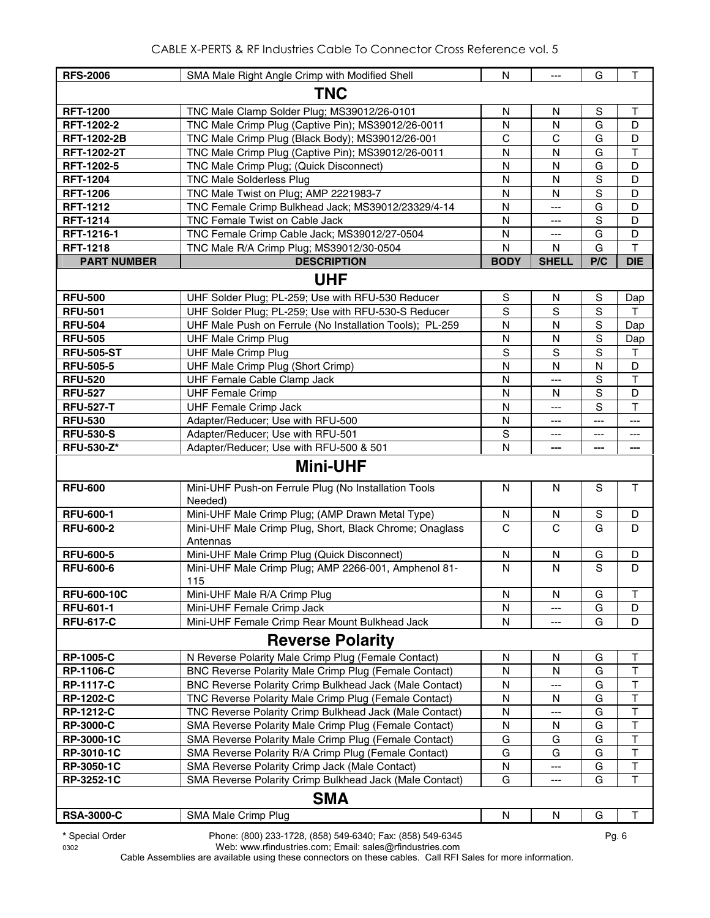| <b>RFS-2006</b>    | SMA Male Right Angle Crimp with Modified Shell                      | N            | $\overline{a}$ | G             | T                       |  |  |
|--------------------|---------------------------------------------------------------------|--------------|----------------|---------------|-------------------------|--|--|
| <b>TNC</b>         |                                                                     |              |                |               |                         |  |  |
| <b>RFT-1200</b>    | TNC Male Clamp Solder Plug; MS39012/26-0101                         | N            | N              | S             | Τ                       |  |  |
| RFT-1202-2         | TNC Male Crimp Plug (Captive Pin); MS39012/26-0011                  | N            | $\mathsf{N}$   | G             | D                       |  |  |
| <b>RFT-1202-2B</b> | TNC Male Crimp Plug (Black Body); MS39012/26-001                    | $\mathsf{C}$ | $\mathsf{C}$   | G             | D                       |  |  |
| <b>RFT-1202-2T</b> | TNC Male Crimp Plug (Captive Pin); MS39012/26-0011                  | N            | N              | G             | $\mathsf{T}$            |  |  |
| RFT-1202-5         | TNC Male Crimp Plug; (Quick Disconnect)                             | N            | N              | G             | D                       |  |  |
| <b>RFT-1204</b>    | <b>TNC Male Solderless Plug</b>                                     | N            | $\mathsf{N}$   | $\mathbf S$   | D                       |  |  |
| <b>RFT-1206</b>    | TNC Male Twist on Plug; AMP 2221983-7                               | N            | N              | S             | D                       |  |  |
| <b>RFT-1212</b>    | TNC Female Crimp Bulkhead Jack; MS39012/23329/4-14                  | N            | $\overline{a}$ | G             | D                       |  |  |
| <b>RFT-1214</b>    | TNC Female Twist on Cable Jack                                      | $\mathsf{N}$ | ---            | S             | D                       |  |  |
| RFT-1216-1         | TNC Female Crimp Cable Jack; MS39012/27-0504                        | N            | ---            | G             | D                       |  |  |
| <b>RFT-1218</b>    | TNC Male R/A Crimp Plug; MS39012/30-0504                            | N            | N              | G             | T                       |  |  |
| <b>PART NUMBER</b> | <b>DESCRIPTION</b>                                                  | <b>BODY</b>  | <b>SHELL</b>   | P/C           | <b>DIE</b>              |  |  |
|                    | <b>UHF</b>                                                          |              |                |               |                         |  |  |
| <b>RFU-500</b>     | UHF Solder Plug; PL-259; Use with RFU-530 Reducer                   | S            | N              | ${\mathsf S}$ | Dap                     |  |  |
| <b>RFU-501</b>     | UHF Solder Plug; PL-259; Use with RFU-530-S Reducer                 | S            | S              | S             | т                       |  |  |
| <b>RFU-504</b>     | UHF Male Push on Ferrule (No Installation Tools); PL-259            | N            | N              | ${\mathsf S}$ | Dap                     |  |  |
| <b>RFU-505</b>     | <b>UHF Male Crimp Plug</b>                                          | N            | ${\sf N}$      | S             | Dap                     |  |  |
| <b>RFU-505-ST</b>  | <b>UHF Male Crimp Plug</b>                                          | S            | S              | S             | $\mathsf T$             |  |  |
| <b>RFU-505-5</b>   | UHF Male Crimp Plug (Short Crimp)                                   | N            | $\mathsf{N}$   | ${\sf N}$     | D                       |  |  |
| <b>RFU-520</b>     | UHF Female Cable Clamp Jack                                         | N            | $---$          | S             | $\mathsf{T}$            |  |  |
| <b>RFU-527</b>     | <b>UHF Female Crimp</b>                                             | N            | N              | $\mathbf S$   | D                       |  |  |
| <b>RFU-527-T</b>   | <b>UHF Female Crimp Jack</b>                                        | N            | $\overline{a}$ | S             | $\mathsf T$             |  |  |
| <b>RFU-530</b>     | Adapter/Reducer; Use with RFU-500                                   | N            | ---            | $---$         | ---                     |  |  |
| <b>RFU-530-S</b>   | Adapter/Reducer; Use with RFU-501                                   | S            | $---$          | ---           | ---                     |  |  |
| <b>RFU-530-Z*</b>  | Adapter/Reducer; Use with RFU-500 & 501                             | N            | ---            | ---           | ---                     |  |  |
|                    | <b>Mini-UHF</b>                                                     |              |                |               |                         |  |  |
| <b>RFU-600</b>     | Mini-UHF Push-on Ferrule Plug (No Installation Tools<br>Needed)     | N            | $\mathsf{N}$   | $\mathsf{s}$  | $\mathsf T$             |  |  |
| <b>RFU-600-1</b>   | Mini-UHF Male Crimp Plug; (AMP Drawn Metal Type)                    | N            | N              | $\mathbf S$   | D                       |  |  |
| <b>RFU-600-2</b>   | Mini-UHF Male Crimp Plug, Short, Black Chrome; Onaglass<br>Antennas | $\mathsf{C}$ | $\mathsf{C}$   | G             | D                       |  |  |
| <b>RFU-600-5</b>   | Mini-UHF Male Crimp Plug (Quick Disconnect)                         | N            | N              | G             | D                       |  |  |
| <b>RFU-600-6</b>   | Mini-UHF Male Crimp Plug; AMP 2266-001, Amphenol 81-<br>115         | N            | N              | S             | D                       |  |  |
| <b>RFU-600-10C</b> | Mini-UHF Male R/A Crimp Plug                                        | N            | N              | G             | Τ                       |  |  |
| <b>RFU-601-1</b>   | Mini-UHF Female Crimp Jack                                          | N            | ---            | G             | D                       |  |  |
| <b>RFU-617-C</b>   | Mini-UHF Female Crimp Rear Mount Bulkhead Jack                      | N            | ---            | G             | D                       |  |  |
|                    | <b>Reverse Polarity</b>                                             |              |                |               |                         |  |  |
| <b>RP-1005-C</b>   | N Reverse Polarity Male Crimp Plug (Female Contact)                 | N            | N              | G             | Т                       |  |  |
| <b>RP-1106-C</b>   | BNC Reverse Polarity Male Crimp Plug (Female Contact)               | N            | N              | G             | $\sf T$                 |  |  |
| <b>RP-1117-C</b>   | BNC Reverse Polarity Crimp Bulkhead Jack (Male Contact)             | N            | ---            | G             | $\sf T$                 |  |  |
| <b>RP-1202-C</b>   | TNC Reverse Polarity Male Crimp Plug (Female Contact)               | N            | N              | G             | $\mathsf T$             |  |  |
| <b>RP-1212-C</b>   | TNC Reverse Polarity Crimp Bulkhead Jack (Male Contact)             | N            | ---            | G             | $\mathsf T$             |  |  |
| <b>RP-3000-C</b>   | SMA Reverse Polarity Male Crimp Plug (Female Contact)               | N            | N              | G             | $\overline{\mathsf{T}}$ |  |  |
| RP-3000-1C         | SMA Reverse Polarity Male Crimp Plug (Female Contact)               | G            | G              | G             | T                       |  |  |
| RP-3010-1C         | SMA Reverse Polarity R/A Crimp Plug (Female Contact)                | G            | G              | G             | T                       |  |  |
| RP-3050-1C         | SMA Reverse Polarity Crimp Jack (Male Contact)                      | N            | ---            | G             | $\top$                  |  |  |
| RP-3252-1C         | SMA Reverse Polarity Crimp Bulkhead Jack (Male Contact)             | G            | ---            | G             | T                       |  |  |
|                    | <b>SMA</b>                                                          |              |                |               |                         |  |  |
| <b>RSA-3000-C</b>  | SMA Male Crimp Plug                                                 | N            | N              | G             | T                       |  |  |

**\*** Special Order Phone: (800) 233-1728, (858) 549-6340; Fax: (858) 549-6345 Pg. 6

0302 Web: www.rfindustries.com; Email: sales@rfindustries.com

Cable Assemblies are available using these connectors on these cables. Call RFI Sales for more information.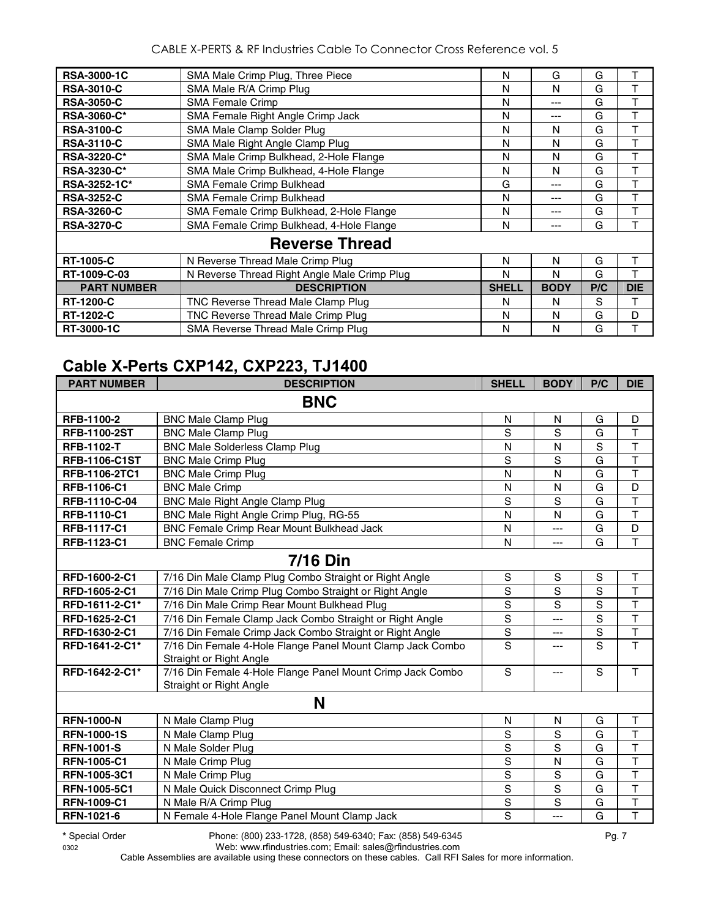CABLE X-PERTS & RF Industries Cable To Connector Cross Reference vol. 5

| <b>RSA-3000-1C</b> | SMA Male Crimp Plug, Three Piece             | N            | G           | G   | т          |
|--------------------|----------------------------------------------|--------------|-------------|-----|------------|
| <b>RSA-3010-C</b>  | SMA Male R/A Crimp Plug                      | N            | N           | G   |            |
| <b>RSA-3050-C</b>  | <b>SMA Female Crimp</b>                      | N            | ---         | G   |            |
| <b>RSA-3060-C*</b> | SMA Female Right Angle Crimp Jack            | N            | ---         | G   |            |
| <b>RSA-3100-C</b>  | SMA Male Clamp Solder Plug                   | N            | N           | G   | т          |
| <b>RSA-3110-C</b>  | SMA Male Right Angle Clamp Plug              | N            | N           | G   |            |
| <b>RSA-3220-C*</b> | SMA Male Crimp Bulkhead, 2-Hole Flange       | N            | N           | G   | T          |
| <b>RSA-3230-C*</b> | SMA Male Crimp Bulkhead, 4-Hole Flange       | N            | N           | G   | т          |
| RSA-3252-1C*       | SMA Female Crimp Bulkhead                    | G            | ---         | G   | т          |
| <b>RSA-3252-C</b>  | SMA Female Crimp Bulkhead                    | N            | ---         | G   |            |
| <b>RSA-3260-C</b>  | SMA Female Crimp Bulkhead, 2-Hole Flange     | N            | ---         | G   | т          |
| <b>RSA-3270-C</b>  | SMA Female Crimp Bulkhead, 4-Hole Flange     | N            | ---         | G   |            |
|                    | <b>Reverse Thread</b>                        |              |             |     |            |
| <b>RT-1005-C</b>   | N Reverse Thread Male Crimp Plug             | N            | N           | G   | т          |
| RT-1009-C-03       | N Reverse Thread Right Angle Male Crimp Plug | N            | N           | G   |            |
| <b>PART NUMBER</b> | <b>DESCRIPTION</b>                           | <b>SHELL</b> | <b>BODY</b> | P/C | <b>DIE</b> |
| <b>RT-1200-C</b>   | TNC Reverse Thread Male Clamp Plug           | N            | N           | S   | т          |
| <b>RT-1202-C</b>   | TNC Reverse Thread Male Crimp Plug           | N            | N           | G   | D          |
| RT-3000-1C         | SMA Reverse Thread Male Crimp Plug           | N            | N           | G   | т          |

#### **Cable X-Perts CXP142, CXP223, TJ1400**

| <b>PART NUMBER</b>   | <b>DESCRIPTION</b>                                                                    | <b>SHELL</b>  | <b>BODY</b>    | P/C            | <b>DIE</b>              |
|----------------------|---------------------------------------------------------------------------------------|---------------|----------------|----------------|-------------------------|
|                      | <b>BNC</b>                                                                            |               |                |                |                         |
| RFB-1100-2           | <b>BNC Male Clamp Plug</b>                                                            | N             | N              | G              | D                       |
| <b>RFB-1100-2ST</b>  | <b>BNC Male Clamp Plug</b>                                                            | S             | S              | G              | $\overline{\mathsf{T}}$ |
| <b>RFB-1102-T</b>    | <b>BNC Male Solderless Clamp Plug</b>                                                 | N             | N              | $\overline{s}$ | $\overline{\mathsf{T}}$ |
| <b>RFB-1106-C1ST</b> | <b>BNC Male Crimp Plug</b>                                                            | S             | S              | G              | $\overline{\mathsf{T}}$ |
| RFB-1106-2TC1        | <b>BNC Male Crimp Plug</b>                                                            | N             | N              | G              | $\overline{\mathsf{T}}$ |
| RFB-1106-C1          | <b>BNC Male Crimp</b>                                                                 | N             | N              | G              | D                       |
| RFB-1110-C-04        | <b>BNC Male Right Angle Clamp Plug</b>                                                | S             | S              | G              | $\mathsf{T}$            |
| <b>RFB-1110-C1</b>   | BNC Male Right Angle Crimp Plug, RG-55                                                | N             | N              | G              | $\overline{\mathsf{T}}$ |
| <b>RFB-1117-C1</b>   | <b>BNC Female Crimp Rear Mount Bulkhead Jack</b>                                      | N             | ---            | G              | D                       |
| RFB-1123-C1          | <b>BNC Female Crimp</b>                                                               | N             | ---            | G              | $\mathsf{T}$            |
|                      | <b>7/16 Din</b>                                                                       |               |                |                |                         |
| RFD-1600-2-C1        | 7/16 Din Male Clamp Plug Combo Straight or Right Angle                                | ${\mathsf S}$ | $\mathbf S$    | $\mathbb S$    | $\mathsf T$             |
| RFD-1605-2-C1        | 7/16 Din Male Crimp Plug Combo Straight or Right Angle                                | $\mathbf S$   | $\overline{s}$ | S              | $\mathsf{T}$            |
| RFD-1611-2-C1*       | 7/16 Din Male Crimp Rear Mount Bulkhead Plug                                          | $\mathbf S$   | S              | S              | $\overline{\mathsf{T}}$ |
| RFD-1625-2-C1        | 7/16 Din Female Clamp Jack Combo Straight or Right Angle                              | $\mathbf S$   | ---            | S              | $\mathsf{T}$            |
| RFD-1630-2-C1        | 7/16 Din Female Crimp Jack Combo Straight or Right Angle                              | S             | ---            | $\mathbf S$    | $\overline{\mathsf{T}}$ |
| RFD-1641-2-C1*       | 7/16 Din Female 4-Hole Flange Panel Mount Clamp Jack Combo<br>Straight or Right Angle | S             | ---            | S              | T                       |
| RFD-1642-2-C1*       | 7/16 Din Female 4-Hole Flange Panel Mount Crimp Jack Combo<br>Straight or Right Angle | S             |                | S              | $\mathsf{T}$            |
|                      | N                                                                                     |               |                |                |                         |
| <b>RFN-1000-N</b>    | N Male Clamp Plug                                                                     | N             | N              | G              | $\sf T$                 |
| <b>RFN-1000-1S</b>   | N Male Clamp Plug                                                                     | $\mathbf S$   | S              | G              | $\overline{\mathsf{T}}$ |
| <b>RFN-1001-S</b>    | N Male Solder Plug                                                                    | S             | S              | G              | $\top$                  |
| <b>RFN-1005-C1</b>   | N Male Crimp Plug                                                                     | S             | N              | G              | $\overline{\mathsf{T}}$ |
| RFN-1005-3C1         | N Male Crimp Plug                                                                     | S             | S              | G              | $\mathsf{T}$            |
| <b>RFN-1005-5C1</b>  | N Male Quick Disconnect Crimp Plug                                                    | S             | S              | G              | $\mathsf{T}$            |
| <b>RFN-1009-C1</b>   | N Male R/A Crimp Plug                                                                 | $\mathbf S$   | S              | G              | $\top$                  |
| <b>RFN-1021-6</b>    | N Female 4-Hole Flange Panel Mount Clamp Jack                                         | S             | ---            | G              | T                       |

**\*** Special Order Phone: (800) 233-1728, (858) 549-6340; Fax: (858) 549-6345 Pg. 7

0302 Web: www.rfindustries.com; Email: sales@rfindustries.com Cable Assemblies are available using these connectors on these cables. Call RFI Sales for more information.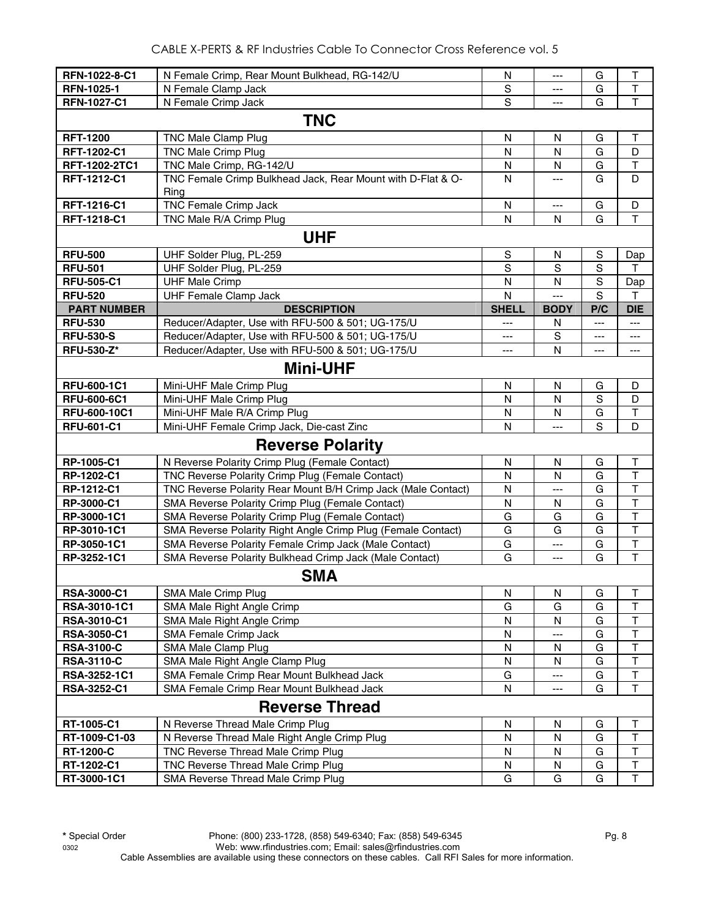| RFN-1022-8-C1                        | N Female Crimp, Rear Mount Bulkhead, RG-142/U                           | N              | ---                           | G                     | Τ                       |
|--------------------------------------|-------------------------------------------------------------------------|----------------|-------------------------------|-----------------------|-------------------------|
| <b>RFN-1025-1</b>                    | N Female Clamp Jack                                                     | S              | ---                           | G                     | Τ                       |
| RFN-1027-C1                          | N Female Crimp Jack                                                     | S              | $\overline{a}$                | G                     | T                       |
|                                      | <b>TNC</b>                                                              |                |                               |                       |                         |
| <b>RFT-1200</b>                      | TNC Male Clamp Plug                                                     | $\mathsf{N}$   | N                             | G                     | $\top$                  |
| <b>RFT-1202-C1</b>                   | <b>TNC Male Crimp Plug</b>                                              | N              | N                             | G                     | D                       |
| RFT-1202-2TC1                        | TNC Male Crimp, RG-142/U                                                | N              | N                             | G                     | $\top$                  |
| RFT-1212-C1                          | TNC Female Crimp Bulkhead Jack, Rear Mount with D-Flat & O-<br>Ring     | N              | $\overline{a}$                | G                     | D                       |
| RFT-1216-C1                          | <b>TNC Female Crimp Jack</b>                                            | N              | $\overline{a}$                | G                     | D                       |
| RFT-1218-C1                          | TNC Male R/A Crimp Plug                                                 | N              | N                             | G                     | T                       |
|                                      |                                                                         |                |                               |                       |                         |
|                                      | <b>UHF</b>                                                              |                |                               |                       |                         |
| <b>RFU-500</b>                       | UHF Solder Plug, PL-259                                                 | $\mathbb S$    | N                             | S                     | Dap                     |
| <b>RFU-501</b>                       | UHF Solder Plug, PL-259                                                 | $\mathbf S$    | S                             | $\mathbf S$           | T                       |
| <b>RFU-505-C1</b>                    | <b>UHF Male Crimp</b>                                                   | N              | N                             | S                     | Dap                     |
| <b>RFU-520</b>                       | <b>UHF Female Clamp Jack</b>                                            | $\mathsf{N}$   | $\overline{a}$<br><b>BODY</b> | S                     | T                       |
| <b>PART NUMBER</b><br><b>RFU-530</b> | <b>DESCRIPTION</b><br>Reducer/Adapter, Use with RFU-500 & 501; UG-175/U | <b>SHELL</b>   |                               | P/C<br>$\overline{a}$ | <b>DIE</b><br>$---$     |
| <b>RFU-530-S</b>                     | Reducer/Adapter, Use with RFU-500 & 501; UG-175/U                       | $---$<br>$---$ | N<br>S                        |                       |                         |
| <b>RFU-530-Z*</b>                    | Reducer/Adapter, Use with RFU-500 & 501; UG-175/U                       | ---            | N                             | ---<br>---            | ---<br>---              |
|                                      |                                                                         |                |                               |                       |                         |
|                                      | <b>Mini-UHF</b>                                                         |                |                               |                       |                         |
| RFU-600-1C1                          | Mini-UHF Male Crimp Plug                                                | ${\sf N}$      | N                             | G                     | D                       |
| <b>RFU-600-6C1</b>                   | Mini-UHF Male Crimp Plug                                                | N              | N                             | S                     | D                       |
| RFU-600-10C1                         | Mini-UHF Male R/A Crimp Plug                                            | N              | N                             | G                     | $\top$                  |
| <b>RFU-601-C1</b>                    | Mini-UHF Female Crimp Jack, Die-cast Zinc                               | $\mathsf{N}$   | $---$                         | S                     | D                       |
|                                      | <b>Reverse Polarity</b>                                                 |                |                               |                       |                         |
| RP-1005-C1                           | N Reverse Polarity Crimp Plug (Female Contact)                          | N              | N                             | G                     | Τ                       |
| RP-1202-C1                           | TNC Reverse Polarity Crimp Plug (Female Contact)                        | N              | N                             | G                     | $\top$                  |
| RP-1212-C1                           | TNC Reverse Polarity Rear Mount B/H Crimp Jack (Male Contact)           | N              | $---$                         | G                     | $\top$                  |
| RP-3000-C1                           | SMA Reverse Polarity Crimp Plug (Female Contact)                        | N              | N                             | G                     | $\top$                  |
| RP-3000-1C1                          | SMA Reverse Polarity Crimp Plug (Female Contact)                        | G              | G                             | G                     | T                       |
| RP-3010-1C1                          | SMA Reverse Polarity Right Angle Crimp Plug (Female Contact)            | G              | G                             | G                     | T                       |
| RP-3050-1C1                          | SMA Reverse Polarity Female Crimp Jack (Male Contact)                   | G              | ---                           | G                     | T                       |
| RP-3252-1C1                          | SMA Reverse Polarity Bulkhead Crimp Jack (Male Contact)                 | G              | $\overline{a}$                | G                     | $\mathsf{T}$            |
|                                      | <b>SMA</b>                                                              |                |                               |                       |                         |
| RSA-3000-C1                          | SMA Male Crimp Plug                                                     | N              | N                             | G                     | Τ                       |
| RSA-3010-1C1                         | SMA Male Right Angle Crimp                                              | G              | G                             | G                     | Τ                       |
| <b>RSA-3010-C1</b>                   | SMA Male Right Angle Crimp                                              | N              | N                             | G                     | $\top$                  |
| <b>RSA-3050-C1</b>                   | SMA Female Crimp Jack                                                   | N              | ---                           | G                     | $\top$                  |
| <b>RSA-3100-C</b>                    | SMA Male Clamp Plug                                                     | N              | N                             | G                     | T                       |
| <b>RSA-3110-C</b>                    | SMA Male Right Angle Clamp Plug                                         | N              | N                             | G                     | T                       |
| RSA-3252-1C1                         | SMA Female Crimp Rear Mount Bulkhead Jack                               | G              | ---                           | G                     | $\overline{\mathsf{T}}$ |
| RSA-3252-C1                          | SMA Female Crimp Rear Mount Bulkhead Jack                               | N              | ---                           | G                     | T                       |
|                                      | <b>Reverse Thread</b>                                                   |                |                               |                       |                         |
| RT-1005-C1                           | N Reverse Thread Male Crimp Plug                                        | N              | N                             | G                     | Т                       |
| RT-1009-C1-03                        | N Reverse Thread Male Right Angle Crimp Plug                            | ${\sf N}$      | ${\sf N}$                     | G                     | T                       |
| <b>RT-1200-C</b>                     | TNC Reverse Thread Male Crimp Plug                                      | N              | N                             | G                     | $\top$                  |
| RT-1202-C1                           | TNC Reverse Thread Male Crimp Plug                                      | ${\sf N}$      | N                             | G                     | $\top$                  |
| RT-3000-1C1                          | SMA Reverse Thread Male Crimp Plug                                      | G              | G                             | G                     | $\overline{\mathsf{T}}$ |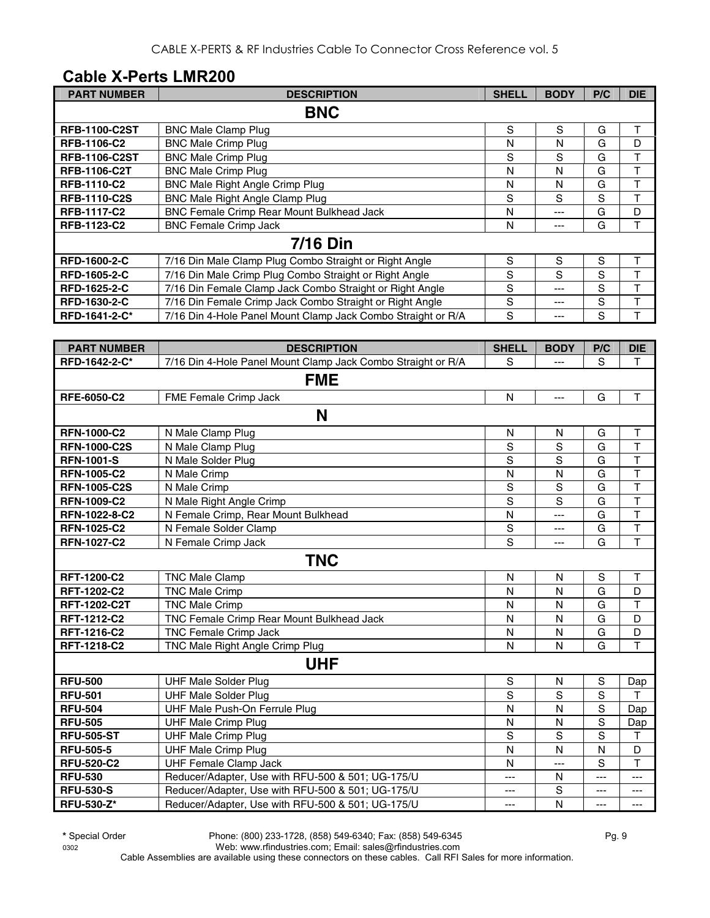#### **Cable X-Perts LMR200**

| <b>PART NUMBER</b>   | <b>DESCRIPTION</b>                                           | <b>SHELL</b> | <b>BODY</b> | P/C | <b>DIE</b> |
|----------------------|--------------------------------------------------------------|--------------|-------------|-----|------------|
|                      | <b>BNC</b>                                                   |              |             |     |            |
| <b>RFB-1100-C2ST</b> | <b>BNC Male Clamp Plug</b>                                   | S            | S           | G   | т          |
| <b>RFB-1106-C2</b>   | <b>BNC Male Crimp Plug</b>                                   | N            | N           | G   | D          |
| <b>RFB-1106-C2ST</b> | <b>BNC Male Crimp Plug</b>                                   | S            | S           | G   | т          |
| <b>RFB-1106-C2T</b>  | <b>BNC Male Crimp Plug</b>                                   | N            | N           | G   | т          |
| <b>RFB-1110-C2</b>   | <b>BNC Male Right Angle Crimp Plug</b>                       | N            | N           | G   |            |
| <b>RFB-1110-C2S</b>  | BNC Male Right Angle Clamp Plug                              | S            | S           | S   |            |
| <b>RFB-1117-C2</b>   | BNC Female Crimp Rear Mount Bulkhead Jack                    | N            | ---         | G   | D          |
| RFB-1123-C2          | <b>BNC Female Crimp Jack</b>                                 | N            | ---         | G   |            |
|                      | <b>7/16 Din</b>                                              |              |             |     |            |
| <b>RFD-1600-2-C</b>  | 7/16 Din Male Clamp Plug Combo Straight or Right Angle       | S            | S           | S   | т          |
| <b>RFD-1605-2-C</b>  | 7/16 Din Male Crimp Plug Combo Straight or Right Angle       | S            | S           | S   | т          |
| <b>RFD-1625-2-C</b>  | 7/16 Din Female Clamp Jack Combo Straight or Right Angle     | S            | ---         | S   |            |
| <b>RFD-1630-2-C</b>  | 7/16 Din Female Crimp Jack Combo Straight or Right Angle     | S            | ---         | S   |            |
| RFD-1641-2-C*        | 7/16 Din 4-Hole Panel Mount Clamp Jack Combo Straight or R/A | S            | ---         | S   |            |

| <b>PART NUMBER</b>  | <b>DESCRIPTION</b>                                           | <b>SHELL</b>   | <b>BODY</b>    | P/C            | <b>DIE</b>              |
|---------------------|--------------------------------------------------------------|----------------|----------------|----------------|-------------------------|
| RFD-1642-2-C*       | 7/16 Din 4-Hole Panel Mount Clamp Jack Combo Straight or R/A | S              | $\overline{a}$ | S              | T.                      |
|                     | <b>FME</b>                                                   |                |                |                |                         |
| RFE-6050-C2         | FME Female Crimp Jack                                        | $\mathsf{N}$   | $\overline{a}$ | G              | $\mathsf{T}$            |
|                     | N                                                            |                |                |                |                         |
| <b>RFN-1000-C2</b>  | N Male Clamp Plug                                            | N              | N              | G              | $\mathsf T$             |
| <b>RFN-1000-C2S</b> | N Male Clamp Plug                                            | $\overline{s}$ | S              | $\overline{G}$ | $\overline{\mathsf{T}}$ |
| <b>RFN-1001-S</b>   | N Male Solder Plug                                           | S              | S              | G              | $\overline{\mathsf{T}}$ |
| <b>RFN-1005-C2</b>  | N Male Crimp                                                 | N              | N              | G              | $\mathsf T$             |
| <b>RFN-1005-C2S</b> | N Male Crimp                                                 | S              | $\mathsf S$    | G              | $\top$                  |
| <b>RFN-1009-C2</b>  | N Male Right Angle Crimp                                     | S              | S              | G              | T                       |
| RFN-1022-8-C2       | N Female Crimp, Rear Mount Bulkhead                          | N              | $---$          | G              | $\overline{\mathsf{T}}$ |
| <b>RFN-1025-C2</b>  | N Female Solder Clamp                                        | $\mathbb S$    | ---            | G              | T                       |
| <b>RFN-1027-C2</b>  | N Female Crimp Jack                                          | $\overline{s}$ | $---$          | G              | T                       |
|                     | <b>TNC</b>                                                   |                |                |                |                         |
| <b>RFT-1200-C2</b>  | <b>TNC Male Clamp</b>                                        | N              | N              | S              | $\mathsf T$             |
| RFT-1202-C2         | <b>TNC Male Crimp</b>                                        | N              | N              | G              | D                       |
| <b>RFT-1202-C2T</b> | <b>TNC Male Crimp</b>                                        | N              | N              | G              | T                       |
| <b>RFT-1212-C2</b>  | TNC Female Crimp Rear Mount Bulkhead Jack                    | N              | $\mathsf{N}$   | G              | D                       |
| <b>RFT-1216-C2</b>  | TNC Female Crimp Jack                                        | N              | N              | G              | D                       |
| RFT-1218-C2         | TNC Male Right Angle Crimp Plug                              | N              | N              | G              | T                       |
|                     | <b>UHF</b>                                                   |                |                |                |                         |
| <b>RFU-500</b>      | <b>UHF Male Solder Plug</b>                                  | $\mathbf S$    | N              | S              | Dap                     |
| <b>RFU-501</b>      | <b>UHF Male Solder Plug</b>                                  | S              | S              | $\mathbf S$    | T                       |
| <b>RFU-504</b>      | UHF Male Push-On Ferrule Plug                                | N              | N              | S              | Dap                     |
| <b>RFU-505</b>      | <b>UHF Male Crimp Plug</b>                                   | N              | $\mathsf{N}$   | S              | Dap                     |
| <b>RFU-505-ST</b>   | <b>UHF Male Crimp Plug</b>                                   | S              | S              | S              | $\mathsf T$             |
| <b>RFU-505-5</b>    | <b>UHF Male Crimp Plug</b>                                   | $\mathsf{N}$   | N              | N              | D                       |
| <b>RFU-520-C2</b>   | <b>UHF Female Clamp Jack</b>                                 | N              | $---$          | S              | $\mathsf T$             |
| <b>RFU-530</b>      | Reducer/Adapter, Use with RFU-500 & 501; UG-175/U            | ---            | N              | $---$          | ---                     |
| <b>RFU-530-S</b>    | Reducer/Adapter, Use with RFU-500 & 501; UG-175/U            | ---            | $\mathbf S$    | ---            | ---                     |
| <b>RFU-530-Z*</b>   | Reducer/Adapter, Use with RFU-500 & 501; UG-175/U            | ---            | N              | ---            | $---$                   |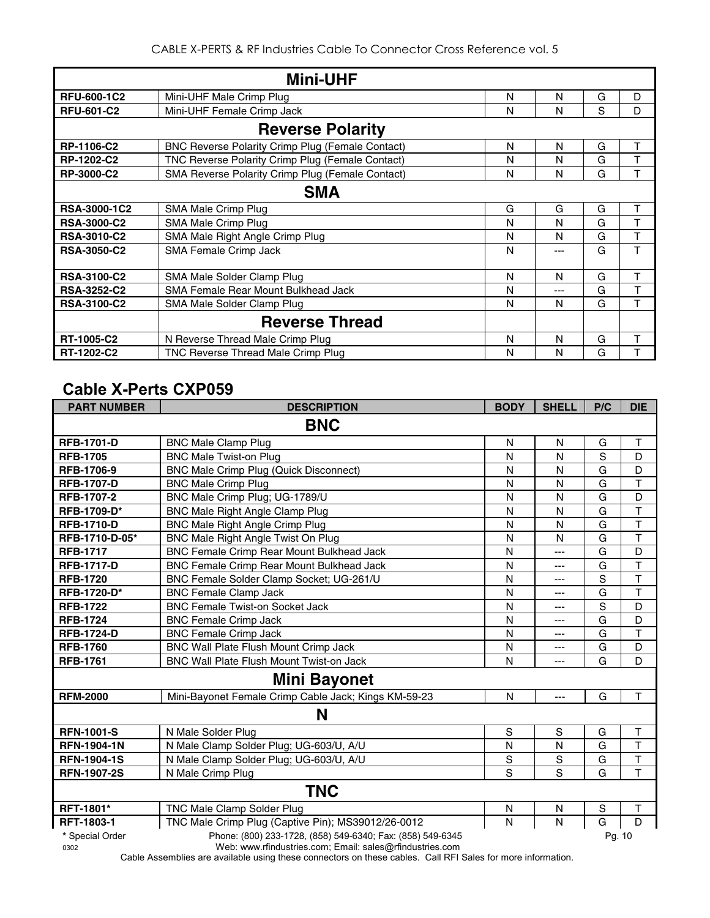|                     | <b>Mini-UHF</b>                                         |   |     |   |   |
|---------------------|---------------------------------------------------------|---|-----|---|---|
| <b>RFU-600-1C2</b>  | Mini-UHF Male Crimp Plug                                | N | N   | G | D |
| <b>RFU-601-C2</b>   | Mini-UHF Female Crimp Jack                              | N | N   | S | D |
|                     | <b>Reverse Polarity</b>                                 |   |     |   |   |
| <b>RP-1106-C2</b>   | <b>BNC Reverse Polarity Crimp Plug (Female Contact)</b> | N | N   | G | т |
| RP-1202-C2          | TNC Reverse Polarity Crimp Plug (Female Contact)        | N | N   | G |   |
| RP-3000-C2          | SMA Reverse Polarity Crimp Plug (Female Contact)        | N | N   | G | т |
|                     | <b>SMA</b>                                              |   |     |   |   |
| <b>RSA-3000-1C2</b> | SMA Male Crimp Plug                                     | G | G   | G | T |
| <b>RSA-3000-C2</b>  | SMA Male Crimp Plug                                     | N | N   | G | т |
| <b>RSA-3010-C2</b>  | SMA Male Right Angle Crimp Plug                         | N | N   | G | T |
| <b>RSA-3050-C2</b>  | SMA Female Crimp Jack                                   | N | --- | G | T |
| <b>RSA-3100-C2</b>  | SMA Male Solder Clamp Plug                              | N | N   | G | т |
| <b>RSA-3252-C2</b>  | SMA Female Rear Mount Bulkhead Jack                     | N | --- | G | T |
| <b>RSA-3100-C2</b>  | SMA Male Solder Clamp Plug                              | N | N   | G | T |
|                     | <b>Reverse Thread</b>                                   |   |     |   |   |
| RT-1005-C2          | N Reverse Thread Male Crimp Plug                        | N | N   | G | т |
| RT-1202-C2          | TNC Reverse Thread Male Crimp Plug                      | N | N   | G | т |

#### **Cable X-Perts CXP059**

| <b>PART NUMBER</b> | <b>DESCRIPTION</b>                                         | <b>BODY</b>  | <b>SHELL</b> | P/C         | <b>DIE</b>              |
|--------------------|------------------------------------------------------------|--------------|--------------|-------------|-------------------------|
|                    | <b>BNC</b>                                                 |              |              |             |                         |
| <b>RFB-1701-D</b>  | <b>BNC Male Clamp Plug</b>                                 | N            | N            | G           | т                       |
| <b>RFB-1705</b>    | <b>BNC Male Twist-on Plug</b>                              | N            | N            | S           | D                       |
| <b>RFB-1706-9</b>  | <b>BNC Male Crimp Plug (Quick Disconnect)</b>              | N            | N            | G           | D                       |
| <b>RFB-1707-D</b>  | <b>BNC Male Crimp Plug</b>                                 | N            | N            | G           | T                       |
| <b>RFB-1707-2</b>  | BNC Male Crimp Plug; UG-1789/U                             | N            | N            | G           | D                       |
| RFB-1709-D*        | <b>BNC Male Right Angle Clamp Plug</b>                     | N            | N            | G           | $\top$                  |
| <b>RFB-1710-D</b>  | <b>BNC Male Right Angle Crimp Plug</b>                     | N            | N            | G           | $\top$                  |
| RFB-1710-D-05*     | BNC Male Right Angle Twist On Plug                         | N            | N            | G           | $\overline{\mathsf{T}}$ |
| <b>RFB-1717</b>    | BNC Female Crimp Rear Mount Bulkhead Jack                  | N            | ---          | G           | D                       |
| <b>RFB-1717-D</b>  | BNC Female Crimp Rear Mount Bulkhead Jack                  | N            | ---          | G           | T                       |
| <b>RFB-1720</b>    | BNC Female Solder Clamp Socket; UG-261/U                   | N            | ---          | S           | $\top$                  |
| RFB-1720-D*        | <b>BNC Female Clamp Jack</b>                               | N            | ---          | G           | T                       |
| <b>RFB-1722</b>    | <b>BNC Female Twist-on Socket Jack</b>                     | $\mathsf{N}$ | ---          | S           | D                       |
| <b>RFB-1724</b>    | <b>BNC Female Crimp Jack</b>                               | N            | ---          | G           | D                       |
| <b>RFB-1724-D</b>  | <b>BNC Female Crimp Jack</b>                               | $\mathsf{N}$ | ---          | G           | T                       |
| <b>RFB-1760</b>    | BNC Wall Plate Flush Mount Crimp Jack                      | N            | ---          | G           | D                       |
| <b>RFB-1761</b>    | BNC Wall Plate Flush Mount Twist-on Jack                   | N            | ---          | G           | D                       |
|                    | <b>Mini Bayonet</b>                                        |              |              |             |                         |
| <b>RFM-2000</b>    | Mini-Bayonet Female Crimp Cable Jack; Kings KM-59-23       | N            | $---$        | G           | T                       |
|                    | N                                                          |              |              |             |                         |
| <b>RFN-1001-S</b>  | N Male Solder Plug                                         | S            | S            | G           | T                       |
| <b>RFN-1904-1N</b> | N Male Clamp Solder Plug; UG-603/U, A/U                    | N            | N            | G           | $\overline{\mathsf{T}}$ |
| <b>RFN-1904-1S</b> | N Male Clamp Solder Plug; UG-603/U, A/U                    | S            | S            | G           | T                       |
| <b>RFN-1907-2S</b> | N Male Crimp Plug                                          | S            | S            | G           | T                       |
|                    | <b>TNC</b>                                                 |              |              |             |                         |
| <b>RFT-1801*</b>   | TNC Male Clamp Solder Plug                                 | N            | N            | $\mathbb S$ | Τ                       |
| RFT-1803-1         | TNC Male Crimp Plug (Captive Pin); MS39012/26-0012         | N            | N            | G           | D                       |
| * Special Order    | Phone: (800) 233-1728, (858) 549-6340; Fax: (858) 549-6345 |              |              | Pg. 10      |                         |

0302 Web: www.rfindustries.com; Email: sales@rfindustries.com

Cable Assemblies are available using these connectors on these cables. Call RFI Sales for more information.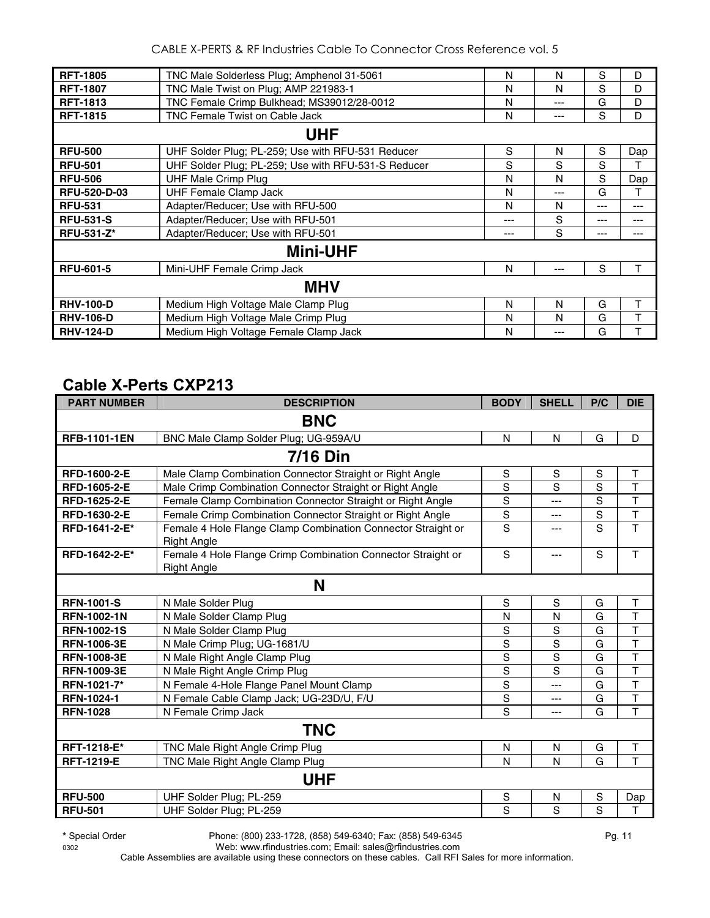| <b>RFT-1805</b>     | TNC Male Solderless Plug; Amphenol 31-5061          | N   | N    | S   | D     |
|---------------------|-----------------------------------------------------|-----|------|-----|-------|
| <b>RFT-1807</b>     | TNC Male Twist on Plug; AMP 221983-1                | N   | N    | S   | D     |
| <b>RFT-1813</b>     | TNC Female Crimp Bulkhead; MS39012/28-0012          | N   | ---  | G   | D     |
| <b>RFT-1815</b>     | TNC Female Twist on Cable Jack                      | N   | ---  | S   | D     |
|                     |                                                     |     |      |     |       |
|                     | <b>UHF</b>                                          |     |      |     |       |
| <b>RFU-500</b>      | UHF Solder Plug; PL-259; Use with RFU-531 Reducer   | S   | N    | S   | Dap   |
| <b>RFU-501</b>      | UHF Solder Plug; PL-259; Use with RFU-531-S Reducer | S   | S    | S   |       |
| <b>RFU-506</b>      | <b>UHF Male Crimp Plug</b>                          | N   | N    | S   | Dap   |
| <b>RFU-520-D-03</b> | <b>UHF Female Clamp Jack</b>                        | N   | $--$ | G   | т     |
| <b>RFU-531</b>      | Adapter/Reducer; Use with RFU-500                   | N   | N    | --- | ---   |
| <b>RFU-531-S</b>    | Adapter/Reducer; Use with RFU-501                   | --- | S    | --- | $---$ |
| RFU-531-Z*          | Adapter/Reducer; Use with RFU-501                   | --- | S    | --- | ---   |
|                     | <b>Mini-UHF</b>                                     |     |      |     |       |
| <b>RFU-601-5</b>    | Mini-UHF Female Crimp Jack                          | N   | $--$ | S   |       |
|                     | <b>MHV</b>                                          |     |      |     |       |
| <b>RHV-100-D</b>    | Medium High Voltage Male Clamp Plug                 | N   | N    | G   | т     |
| <b>RHV-106-D</b>    | Medium High Voltage Male Crimp Plug                 | N   | N    | G   | т     |
| <b>RHV-124-D</b>    | Medium High Voltage Female Clamp Jack               | N   | ---  | G   |       |

#### **Cable X-Perts CXP213**

| <b>PART NUMBER</b>  | <b>DESCRIPTION</b>                                                                 | <b>BODY</b>    | <b>SHELL</b>   | P/C         | <b>DIE</b>              |  |  |  |
|---------------------|------------------------------------------------------------------------------------|----------------|----------------|-------------|-------------------------|--|--|--|
|                     | <b>BNC</b>                                                                         |                |                |             |                         |  |  |  |
| <b>RFB-1101-1EN</b> | BNC Male Clamp Solder Plug; UG-959A/U                                              | $\mathsf{N}$   | N              | G           | D                       |  |  |  |
|                     | <b>7/16 Din</b>                                                                    |                |                |             |                         |  |  |  |
| RFD-1600-2-E        | Male Clamp Combination Connector Straight or Right Angle                           | S              | S              | S           | $\top$                  |  |  |  |
| RFD-1605-2-E        | Male Crimp Combination Connector Straight or Right Angle                           | S              | S              | S           | $\mathsf{T}$            |  |  |  |
| <b>RFD-1625-2-E</b> | Female Clamp Combination Connector Straight or Right Angle                         | S              | ---            | S           | $\overline{1}$          |  |  |  |
| RFD-1630-2-E        | Female Crimp Combination Connector Straight or Right Angle                         | S              | ---            | $\mathbf S$ | $\top$                  |  |  |  |
| RFD-1641-2-E*       | Female 4 Hole Flange Clamp Combination Connector Straight or<br><b>Right Angle</b> | $\overline{s}$ | ---            | S           | $\mathsf{T}$            |  |  |  |
| RFD-1642-2-E*       | Female 4 Hole Flange Crimp Combination Connector Straight or<br><b>Right Angle</b> | S              | $---$          | S           | $\mathsf{T}$            |  |  |  |
|                     | N                                                                                  |                |                |             |                         |  |  |  |
| <b>RFN-1001-S</b>   | N Male Solder Plug                                                                 | S              | $\mathbf S$    | G           | $\mathsf T$             |  |  |  |
| <b>RFN-1002-1N</b>  | N Male Solder Clamp Plug                                                           | N              | N              | G           | $\top$                  |  |  |  |
| <b>RFN-1002-1S</b>  | N Male Solder Clamp Plug                                                           | S              | S              | G           | $\mathsf{T}$            |  |  |  |
| <b>RFN-1006-3E</b>  | N Male Crimp Plug; UG-1681/U                                                       | S              | S              | G           | $\mathsf T$             |  |  |  |
| <b>RFN-1008-3E</b>  | N Male Right Angle Clamp Plug                                                      | S              | S              | G           | $\overline{\mathsf{T}}$ |  |  |  |
| <b>RFN-1009-3E</b>  | N Male Right Angle Crimp Plug                                                      | $\overline{s}$ | $\overline{s}$ | G           | $\overline{\mathsf{T}}$ |  |  |  |
| RFN-1021-7*         | N Female 4-Hole Flange Panel Mount Clamp                                           | S              | ---            | G           | $\overline{1}$          |  |  |  |
| <b>RFN-1024-1</b>   | N Female Cable Clamp Jack; UG-23D/U, F/U                                           | $\rm S$        | $---$          | G           | $\top$                  |  |  |  |
| <b>RFN-1028</b>     | N Female Crimp Jack                                                                | $\overline{s}$ | ---            | G           | T                       |  |  |  |
|                     | <b>TNC</b>                                                                         |                |                |             |                         |  |  |  |
| RFT-1218-E*         | TNC Male Right Angle Crimp Plug                                                    | $\mathsf{N}$   | N              | G           | $\top$                  |  |  |  |
| <b>RFT-1219-E</b>   | TNC Male Right Angle Clamp Plug                                                    | N              | $\mathsf{N}$   | G           | $\top$                  |  |  |  |
|                     | <b>UHF</b>                                                                         |                |                |             |                         |  |  |  |
| <b>RFU-500</b>      | UHF Solder Plug; PL-259                                                            | S              | N              | S           | Dap                     |  |  |  |
| <b>RFU-501</b>      | UHF Solder Plug; PL-259                                                            | S              | S              | S           | $\mathsf T$             |  |  |  |

0302 Web: www.rfindustries.com; Email: sales@rfindustries.com Cable Assemblies are available using these connectors on these cables. Call RFI Sales for more information.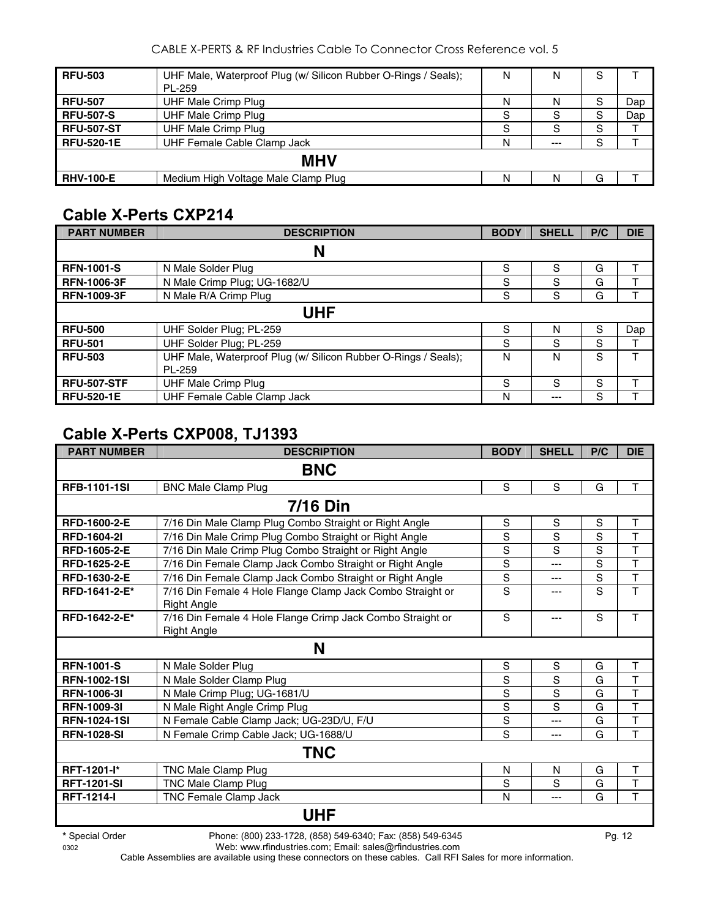CABLE X-PERTS & RF Industries Cable To Connector Cross Reference vol. 5

| <b>RFU-503</b>    | UHF Male, Waterproof Plug (w/ Silicon Rubber O-Rings / Seals);<br>PL-259 | N | Ν       | S |     |  |  |  |  |
|-------------------|--------------------------------------------------------------------------|---|---------|---|-----|--|--|--|--|
| <b>RFU-507</b>    | UHF Male Crimp Plug                                                      | N | N       | S | Dap |  |  |  |  |
| <b>RFU-507-S</b>  | <b>UHF Male Crimp Plug</b>                                               | S | S       | S | Dap |  |  |  |  |
| <b>RFU-507-ST</b> | <b>UHF Male Crimp Plug</b>                                               | S | S       | S |     |  |  |  |  |
| <b>RFU-520-1E</b> | UHF Female Cable Clamp Jack                                              | N | $- - -$ | S |     |  |  |  |  |
|                   | <b>MHV</b>                                                               |   |         |   |     |  |  |  |  |
| <b>RHV-100-E</b>  | Medium High Voltage Male Clamp Plug                                      | N | N       | G |     |  |  |  |  |

## **Cable X-Perts CXP214**

| <b>PART NUMBER</b> | <b>DESCRIPTION</b>                                             | <b>BODY</b> | <b>SHELL</b> | P/C | <b>DIE</b> |  |  |  |
|--------------------|----------------------------------------------------------------|-------------|--------------|-----|------------|--|--|--|
|                    | N                                                              |             |              |     |            |  |  |  |
| <b>RFN-1001-S</b>  | N Male Solder Plug                                             | S           | S            | G   |            |  |  |  |
| <b>RFN-1006-3F</b> | N Male Crimp Plug; UG-1682/U                                   | S           | S            | G   |            |  |  |  |
| <b>RFN-1009-3F</b> | N Male R/A Crimp Plug                                          | S           | S            | G   |            |  |  |  |
|                    | UHF                                                            |             |              |     |            |  |  |  |
| <b>RFU-500</b>     | UHF Solder Plug; PL-259                                        | S           | N            | S   | Dap        |  |  |  |
| <b>RFU-501</b>     | UHF Solder Plug; PL-259                                        | S           | S            | S   |            |  |  |  |
| <b>RFU-503</b>     | UHF Male, Waterproof Plug (w/ Silicon Rubber O-Rings / Seals); | N           | N            | S   | т          |  |  |  |
|                    | PL-259                                                         |             |              |     |            |  |  |  |
| <b>RFU-507-STF</b> | UHF Male Crimp Plug                                            | S           | S            | S   |            |  |  |  |
| <b>RFU-520-1E</b>  | UHF Female Cable Clamp Jack                                    | N           | $---$        | S   |            |  |  |  |

### **Cable X-Perts CXP008, TJ1393**

| <b>PART NUMBER</b>  | <b>DESCRIPTION</b>                                                               | <b>BODY</b>   | <b>SHELL</b> | P/C | <b>DIE</b>   |
|---------------------|----------------------------------------------------------------------------------|---------------|--------------|-----|--------------|
|                     | <b>BNC</b>                                                                       |               |              |     |              |
| <b>RFB-1101-1SI</b> | <b>BNC Male Clamp Plug</b>                                                       | S             | S            | G   | $\mathsf{T}$ |
|                     | <b>7/16 Din</b>                                                                  |               |              |     |              |
| RFD-1600-2-E        | 7/16 Din Male Clamp Plug Combo Straight or Right Angle                           | ${\mathsf S}$ | S            | S   | T            |
| <b>RFD-1604-21</b>  | 7/16 Din Male Crimp Plug Combo Straight or Right Angle                           | S             | S            | S   | T            |
| <b>RFD-1605-2-E</b> | 7/16 Din Male Crimp Plug Combo Straight or Right Angle                           | S             | S            | S   | T            |
| RFD-1625-2-E        | 7/16 Din Female Clamp Jack Combo Straight or Right Angle                         | S             | ---          | S   | T            |
| RFD-1630-2-E        | 7/16 Din Female Clamp Jack Combo Straight or Right Angle                         | S             | ---          | S   | T            |
| RFD-1641-2-E*       | 7/16 Din Female 4 Hole Flange Clamp Jack Combo Straight or<br><b>Right Angle</b> | S             | ---          | S   | T            |
| RFD-1642-2-E*       | 7/16 Din Female 4 Hole Flange Crimp Jack Combo Straight or<br><b>Right Angle</b> | S             | ---          | S   | T            |
|                     | N                                                                                |               |              |     |              |
| <b>RFN-1001-S</b>   | N Male Solder Plug                                                               | S             | S            | G   | Τ            |
| <b>RFN-1002-1SI</b> | N Male Solder Clamp Plug                                                         | S             | S            | G   | T            |
| <b>RFN-1006-31</b>  | N Male Crimp Plug; UG-1681/U                                                     | S             | S            | G   | T            |
| <b>RFN-1009-31</b>  | N Male Right Angle Crimp Plug                                                    | S             | S            | G   | T            |
| <b>RFN-1024-1SI</b> | N Female Cable Clamp Jack; UG-23D/U, F/U                                         | S             | ---          | G   | T            |
| <b>RFN-1028-SI</b>  | N Female Crimp Cable Jack; UG-1688/U                                             | S             | ---          | G   | T            |
|                     | <b>TNC</b>                                                                       |               |              |     |              |
| RFT-1201-l*         | TNC Male Clamp Plug                                                              | N             | N            | G   | T            |
| <b>RFT-1201-SI</b>  | <b>TNC Male Clamp Plug</b>                                                       | S             | S            | G   | T            |
| <b>RFT-1214-I</b>   | TNC Female Clamp Jack                                                            | N             | ---          | G   | T            |
|                     | <b>UHF</b>                                                                       |               |              |     |              |

0302 Web: www.rfindustries.com; Email: sales@rfindustries.com Cable Assemblies are available using these connectors on these cables. Call RFI Sales for more information.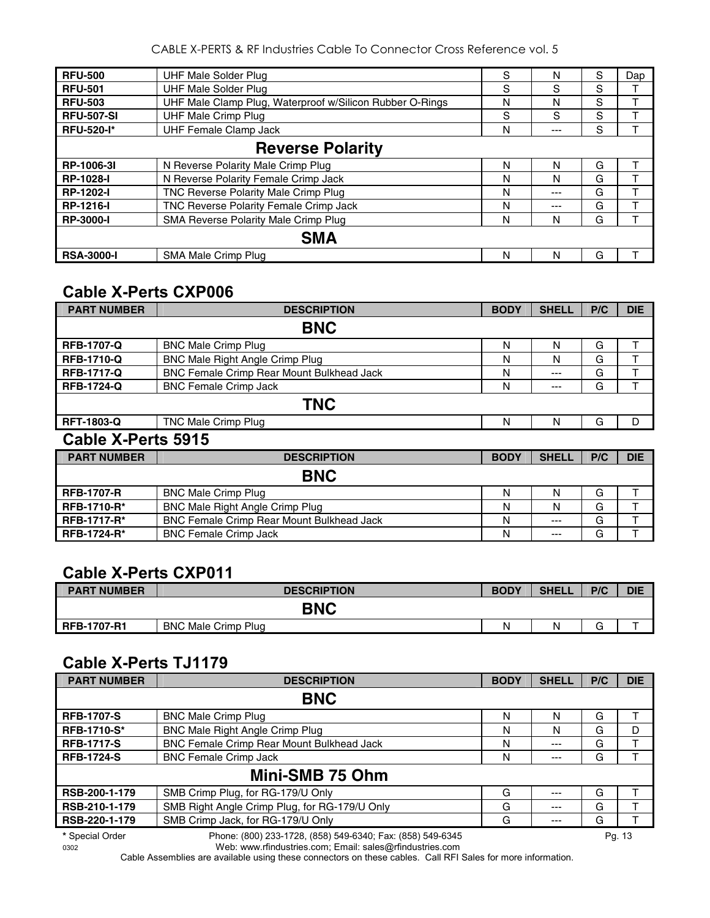CABLE X-PERTS & RF Industries Cable To Connector Cross Reference vol. 5

| <b>RFU-500</b>          | UHF Male Solder Plug                                     | S | N     | S | Dap |  |  |  |
|-------------------------|----------------------------------------------------------|---|-------|---|-----|--|--|--|
| <b>RFU-501</b>          | <b>UHF Male Solder Plug</b>                              | S | S     | S |     |  |  |  |
| <b>RFU-503</b>          | UHF Male Clamp Plug, Waterproof w/Silicon Rubber O-Rings | N | N     | S |     |  |  |  |
| <b>RFU-507-SI</b>       | <b>UHF Male Crimp Plug</b>                               | S | S     | S |     |  |  |  |
| <b>RFU-520-I*</b>       | <b>UHF Female Clamp Jack</b>                             | N | $---$ | S |     |  |  |  |
| <b>Reverse Polarity</b> |                                                          |   |       |   |     |  |  |  |
| RP-1006-31              | N Reverse Polarity Male Crimp Plug                       | N | N     | G |     |  |  |  |
| <b>RP-1028-I</b>        | N Reverse Polarity Female Crimp Jack                     | N | N     | G |     |  |  |  |
| <b>RP-1202-I</b>        | TNC Reverse Polarity Male Crimp Plug                     | N | $---$ | G |     |  |  |  |
| <b>RP-1216-I</b>        | TNC Reverse Polarity Female Crimp Jack                   | N | $---$ | G |     |  |  |  |
| <b>RP-3000-I</b>        | SMA Reverse Polarity Male Crimp Plug                     | N | N     | G |     |  |  |  |
|                         | <b>SMA</b>                                               |   |       |   |     |  |  |  |
| <b>RSA-3000-I</b>       | SMA Male Crimp Plug                                      | N | N     | G |     |  |  |  |

#### **Cable X-Perts CXP006**

| <b>PART NUMBER</b>                                                                                                                                                                                                                                                                                                                                                                                                                                                                      | <b>DESCRIPTION</b>                        | <b>BODY</b> | <b>SHELL</b> | P/C | <b>DIE</b> |
|-----------------------------------------------------------------------------------------------------------------------------------------------------------------------------------------------------------------------------------------------------------------------------------------------------------------------------------------------------------------------------------------------------------------------------------------------------------------------------------------|-------------------------------------------|-------------|--------------|-----|------------|
|                                                                                                                                                                                                                                                                                                                                                                                                                                                                                         | <b>BNC</b>                                |             |              |     |            |
| <b>RFB-1707-Q</b>                                                                                                                                                                                                                                                                                                                                                                                                                                                                       | <b>BNC Male Crimp Plug</b>                | N           | N            | G   |            |
| <b>RFB-1710-Q</b>                                                                                                                                                                                                                                                                                                                                                                                                                                                                       | BNC Male Right Angle Crimp Plug           | N           | N            | G   |            |
| <b>RFB-1717-Q</b>                                                                                                                                                                                                                                                                                                                                                                                                                                                                       | BNC Female Crimp Rear Mount Bulkhead Jack | N           | $---$        | G   |            |
| <b>RFB-1724-Q</b>                                                                                                                                                                                                                                                                                                                                                                                                                                                                       | <b>BNC Female Crimp Jack</b>              | N           | $---$        | G   |            |
|                                                                                                                                                                                                                                                                                                                                                                                                                                                                                         | <b>TNC</b>                                |             |              |     |            |
| <b>RFT-1803-Q</b>                                                                                                                                                                                                                                                                                                                                                                                                                                                                       | <b>TNC Male Crimp Plug</b>                | N           | N            | G   | D          |
| $\sim$ $\blacksquare$ $\blacksquare$ $\blacksquare$ $\blacksquare$ $\blacksquare$ $\blacksquare$ $\blacksquare$ $\blacksquare$ $\blacksquare$ $\blacksquare$ $\blacksquare$ $\blacksquare$ $\blacksquare$ $\blacksquare$ $\blacksquare$ $\blacksquare$ $\blacksquare$ $\blacksquare$ $\blacksquare$ $\blacksquare$ $\blacksquare$ $\blacksquare$ $\blacksquare$ $\blacksquare$ $\blacksquare$ $\blacksquare$ $\blacksquare$ $\blacksquare$ $\blacksquare$ $\blacksquare$ $\blacksquare$ |                                           |             |              |     |            |

#### **Cable X-Perts 5915**

| <b>PART NUMBER</b> | <b>DESCRIPTION</b>                               | <b>BODY</b> | <b>SHELL</b> | P/C | <b>DIE</b> |
|--------------------|--------------------------------------------------|-------------|--------------|-----|------------|
|                    | <b>BNC</b>                                       |             |              |     |            |
| <b>RFB-1707-R</b>  | <b>BNC Male Crimp Plug</b>                       | N           | N            | G   |            |
| <b>RFB-1710-R*</b> | BNC Male Right Angle Crimp Plug                  | N           | N            | G   |            |
| <b>RFB-1717-R*</b> | <b>BNC Female Crimp Rear Mount Bulkhead Jack</b> | N           | $---$        | G   |            |
| <b>RFB-1724-R*</b> | <b>BNC Female Crimp Jack</b>                     | N           | $---$        | G   |            |

#### **Cable X-Perts CXP011**

| <b>PART NUMBER</b> | <b>DESCRIPTION</b>         | <b>BODY</b> | <b>SHELL</b> | P/C    | <b>DIE</b> |
|--------------------|----------------------------|-------------|--------------|--------|------------|
|                    | <b>BNC</b>                 |             |              |        |            |
| <b>RFB-1707-R1</b> | <b>BNC Male Crimp Plug</b> | Ν           | N            | $\sim$ |            |

#### **Cable X-Perts TJ1179**

| <b>PART NUMBER</b> | <b>DESCRIPTION</b>                                         | <b>BODY</b> | <b>SHELL</b> | P/C | <b>DIE</b> |  |  |
|--------------------|------------------------------------------------------------|-------------|--------------|-----|------------|--|--|
|                    | <b>BNC</b>                                                 |             |              |     |            |  |  |
| <b>RFB-1707-S</b>  | <b>BNC Male Crimp Plug</b>                                 | N           | N            | G   |            |  |  |
| <b>RFB-1710-S*</b> | <b>BNC Male Right Angle Crimp Plug</b>                     | N           | N            | G   | D          |  |  |
| <b>RFB-1717-S</b>  | BNC Female Crimp Rear Mount Bulkhead Jack                  | N           | ---          | G   |            |  |  |
| <b>RFB-1724-S</b>  | <b>BNC Female Crimp Jack</b>                               | N           | ---          | G   |            |  |  |
| Mini-SMB 75 Ohm    |                                                            |             |              |     |            |  |  |
| RSB-200-1-179      | SMB Crimp Plug, for RG-179/U Only                          | G           |              | G   |            |  |  |
| RSB-210-1-179      | SMB Right Angle Crimp Plug, for RG-179/U Only              | G           | ---          | G   |            |  |  |
| RSB-220-1-179      | SMB Crimp Jack, for RG-179/U Only                          | G           | ---          | G   |            |  |  |
| * Special Order    | Phone: (800) 233-1728, (858) 549-6340; Fax: (858) 549-6345 |             |              |     | Pg. 13     |  |  |

0302 Web: www.rfindustries.com; Email: sales@rfindustries.com

Cable Assemblies are available using these connectors on these cables. Call RFI Sales for more information.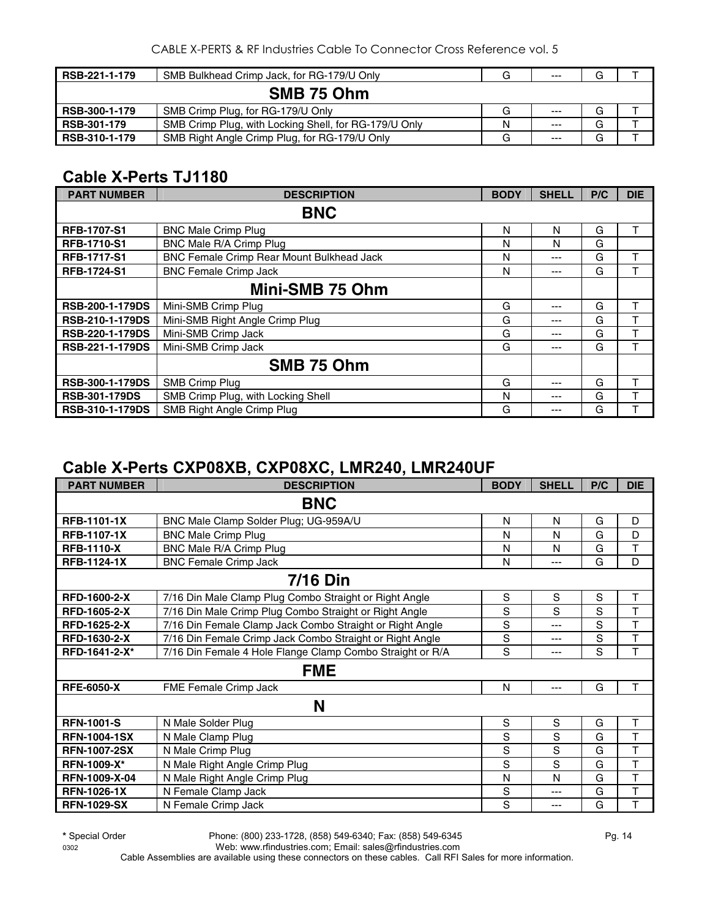| RSB-221-1-179      | SMB Bulkhead Crimp Jack, for RG-179/U Only            | G | $---$ | G |  |  |
|--------------------|-------------------------------------------------------|---|-------|---|--|--|
| SMB 75 Ohm         |                                                       |   |       |   |  |  |
| RSB-300-1-179      | SMB Crimp Plug, for RG-179/U Only                     | G | $---$ | G |  |  |
| <b>RSB-301-179</b> | SMB Crimp Plug, with Locking Shell, for RG-179/U Only | N | $---$ | G |  |  |
| RSB-310-1-179      | SMB Right Angle Crimp Plug, for RG-179/U Only         | G | $---$ | G |  |  |

#### **Cable X-Perts TJ1180**

| <b>PART NUMBER</b>     | <b>DESCRIPTION</b>                        | <b>BODY</b> | <b>SHELL</b> | P/C | <b>DIE</b> |  |
|------------------------|-------------------------------------------|-------------|--------------|-----|------------|--|
| <b>BNC</b>             |                                           |             |              |     |            |  |
| <b>RFB-1707-S1</b>     | <b>BNC Male Crimp Plug</b>                | N           | N            | G   |            |  |
| <b>RFB-1710-S1</b>     | BNC Male R/A Crimp Plug                   | N           | N            | G   |            |  |
| <b>RFB-1717-S1</b>     | BNC Female Crimp Rear Mount Bulkhead Jack | N           | ---          | G   | т          |  |
| <b>RFB-1724-S1</b>     | <b>BNC Female Crimp Jack</b>              | N           | ---          | G   | т          |  |
|                        | Mini-SMB 75 Ohm                           |             |              |     |            |  |
| <b>RSB-200-1-179DS</b> | Mini-SMB Crimp Plug                       | G           | $- - -$      | G   | т          |  |
| <b>RSB-210-1-179DS</b> | Mini-SMB Right Angle Crimp Plug           | G           | ---          | G   | т          |  |
| <b>RSB-220-1-179DS</b> | Mini-SMB Crimp Jack                       | G           | ---          | G   | т          |  |
| <b>RSB-221-1-179DS</b> | Mini-SMB Crimp Jack                       | G           | ---          | G   | ᠇          |  |
|                        | SMB 75 Ohm                                |             |              |     |            |  |
| <b>RSB-300-1-179DS</b> | <b>SMB Crimp Plug</b>                     | G           | ---          | G   | т          |  |
| <b>RSB-301-179DS</b>   | SMB Crimp Plug, with Locking Shell        | N           | ---          | G   |            |  |
| <b>RSB-310-1-179DS</b> | SMB Right Angle Crimp Plug                | G           | ---          | G   |            |  |

#### **Cable X-Perts CXP08XB, CXP08XC, LMR240, LMR240UF**

| <b>PART NUMBER</b>  | <b>DESCRIPTION</b>                                        | <b>BODY</b> | <b>SHELL</b> | P/C | <b>DIE</b> |  |  |
|---------------------|-----------------------------------------------------------|-------------|--------------|-----|------------|--|--|
| <b>BNC</b>          |                                                           |             |              |     |            |  |  |
| <b>RFB-1101-1X</b>  | BNC Male Clamp Solder Plug; UG-959A/U                     | N           | N            | G   | D          |  |  |
| <b>RFB-1107-1X</b>  | <b>BNC Male Crimp Plug</b>                                | N           | N            | G   | D          |  |  |
| <b>RFB-1110-X</b>   | BNC Male R/A Crimp Plug                                   | N           | N            | G   | T          |  |  |
| <b>RFB-1124-1X</b>  | <b>BNC Female Crimp Jack</b>                              | N           | $---$        | G   | D          |  |  |
|                     | <b>7/16 Din</b>                                           |             |              |     |            |  |  |
| <b>RFD-1600-2-X</b> | 7/16 Din Male Clamp Plug Combo Straight or Right Angle    | S           | S            | S   | Τ          |  |  |
| <b>RFD-1605-2-X</b> | 7/16 Din Male Crimp Plug Combo Straight or Right Angle    | S           | S            | S   | T          |  |  |
| <b>RFD-1625-2-X</b> | 7/16 Din Female Clamp Jack Combo Straight or Right Angle  | S           | ---          | S   | T          |  |  |
| RFD-1630-2-X        | 7/16 Din Female Crimp Jack Combo Straight or Right Angle  | S           | ---          | S   | T          |  |  |
| RFD-1641-2-X*       | 7/16 Din Female 4 Hole Flange Clamp Combo Straight or R/A | S           | $---$        | S   | T          |  |  |
| <b>FME</b>          |                                                           |             |              |     |            |  |  |
| <b>RFE-6050-X</b>   | FME Female Crimp Jack                                     | N           | ---          | G   | т          |  |  |
| N                   |                                                           |             |              |     |            |  |  |
| <b>RFN-1001-S</b>   | N Male Solder Plug                                        | S           | S            | G   | T          |  |  |
| <b>RFN-1004-1SX</b> | N Male Clamp Plug                                         | S           | S            | G   | T          |  |  |
| <b>RFN-1007-2SX</b> | N Male Crimp Plug                                         | S           | S            | G   | T          |  |  |
| <b>RFN-1009-X*</b>  | N Male Right Angle Crimp Plug                             | S           | S            | G   | T          |  |  |
| RFN-1009-X-04       | N Male Right Angle Crimp Plug                             | N           | N            | G   | T          |  |  |
| <b>RFN-1026-1X</b>  | N Female Clamp Jack                                       | S           | ---          | G   | T          |  |  |
| <b>RFN-1029-SX</b>  | N Female Crimp Jack                                       | S           | ---          | G   | T          |  |  |